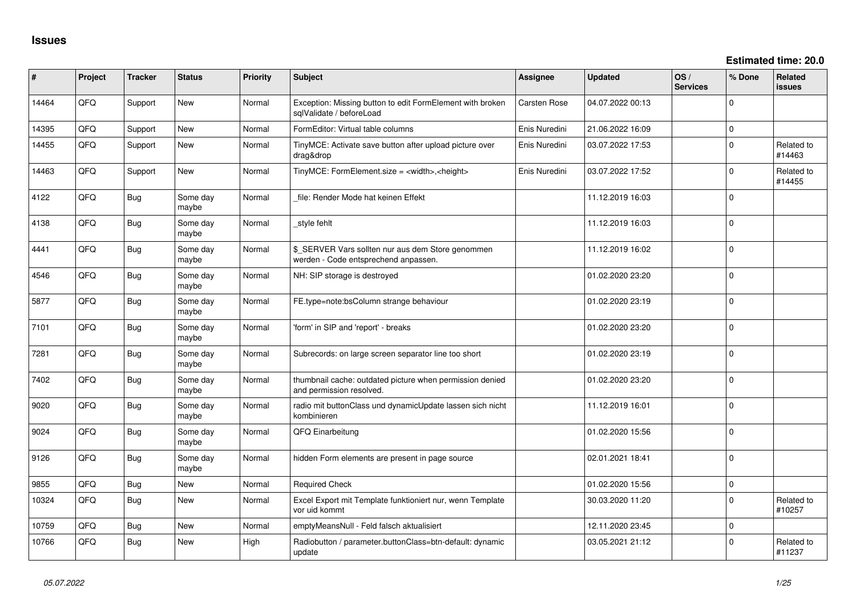| #     | Project | <b>Tracker</b> | <b>Status</b>     | <b>Priority</b> | Subject                                                                                   | Assignee            | <b>Updated</b>   | OS/<br><b>Services</b> | % Done       | Related<br><b>issues</b> |
|-------|---------|----------------|-------------------|-----------------|-------------------------------------------------------------------------------------------|---------------------|------------------|------------------------|--------------|--------------------------|
| 14464 | QFQ     | Support        | New               | Normal          | Exception: Missing button to edit FormElement with broken<br>sqlValidate / beforeLoad     | <b>Carsten Rose</b> | 04.07.2022 00:13 |                        | $\Omega$     |                          |
| 14395 | QFQ     | Support        | New               | Normal          | FormEditor: Virtual table columns                                                         | Enis Nuredini       | 21.06.2022 16:09 |                        | $\mathsf{O}$ |                          |
| 14455 | QFQ     | Support        | New               | Normal          | TinyMCE: Activate save button after upload picture over<br>drag&drop                      | Enis Nuredini       | 03.07.2022 17:53 |                        | $\mathbf 0$  | Related to<br>#14463     |
| 14463 | QFQ     | Support        | New               | Normal          | TinyMCE: FormElement.size = <width>,<height></height></width>                             | Enis Nuredini       | 03.07.2022 17:52 |                        | $\mathbf 0$  | Related to<br>#14455     |
| 4122  | QFQ     | <b>Bug</b>     | Some day<br>maybe | Normal          | file: Render Mode hat keinen Effekt                                                       |                     | 11.12.2019 16:03 |                        | $\mathbf 0$  |                          |
| 4138  | QFQ     | <b>Bug</b>     | Some day<br>maybe | Normal          | style fehlt                                                                               |                     | 11.12.2019 16:03 |                        | $\Omega$     |                          |
| 4441  | QFQ     | Bug            | Some day<br>maybe | Normal          | \$_SERVER Vars sollten nur aus dem Store genommen<br>werden - Code entsprechend anpassen. |                     | 11.12.2019 16:02 |                        | $\Omega$     |                          |
| 4546  | QFQ     | <b>Bug</b>     | Some day<br>maybe | Normal          | NH: SIP storage is destroyed                                                              |                     | 01.02.2020 23:20 |                        | $\Omega$     |                          |
| 5877  | QFQ     | Bug            | Some day<br>maybe | Normal          | FE.type=note:bsColumn strange behaviour                                                   |                     | 01.02.2020 23:19 |                        | $\Omega$     |                          |
| 7101  | QFQ     | Bug            | Some day<br>maybe | Normal          | 'form' in SIP and 'report' - breaks                                                       |                     | 01.02.2020 23:20 |                        | $\Omega$     |                          |
| 7281  | QFQ     | Bug            | Some day<br>maybe | Normal          | Subrecords: on large screen separator line too short                                      |                     | 01.02.2020 23:19 |                        | $\Omega$     |                          |
| 7402  | QFQ     | Bug            | Some day<br>maybe | Normal          | thumbnail cache: outdated picture when permission denied<br>and permission resolved.      |                     | 01.02.2020 23:20 |                        | $\Omega$     |                          |
| 9020  | QFQ     | Bug            | Some day<br>maybe | Normal          | radio mit buttonClass und dynamicUpdate lassen sich nicht<br>kombinieren                  |                     | 11.12.2019 16:01 |                        | $\Omega$     |                          |
| 9024  | QFQ     | Bug            | Some day<br>maybe | Normal          | QFQ Einarbeitung                                                                          |                     | 01.02.2020 15:56 |                        | $\Omega$     |                          |
| 9126  | QFQ     | <b>Bug</b>     | Some day<br>maybe | Normal          | hidden Form elements are present in page source                                           |                     | 02.01.2021 18:41 |                        | $\Omega$     |                          |
| 9855  | QFQ     | Bug            | <b>New</b>        | Normal          | <b>Required Check</b>                                                                     |                     | 01.02.2020 15:56 |                        | $\mathbf 0$  |                          |
| 10324 | QFQ     | Bug            | <b>New</b>        | Normal          | Excel Export mit Template funktioniert nur, wenn Template<br>vor uid kommt                |                     | 30.03.2020 11:20 |                        | $\mathbf 0$  | Related to<br>#10257     |
| 10759 | QFQ     | Bug            | New               | Normal          | emptyMeansNull - Feld falsch aktualisiert                                                 |                     | 12.11.2020 23:45 |                        | $\mathbf 0$  |                          |
| 10766 | QFQ     | Bug            | New               | High            | Radiobutton / parameter.buttonClass=btn-default: dynamic<br>update                        |                     | 03.05.2021 21:12 |                        | $\Omega$     | Related to<br>#11237     |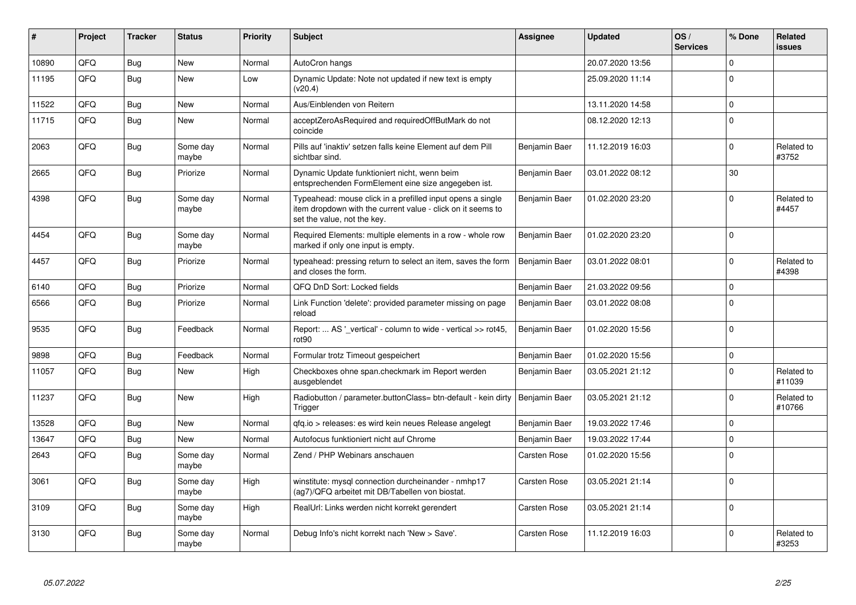| ∦     | Project | <b>Tracker</b> | <b>Status</b>     | <b>Priority</b> | <b>Subject</b>                                                                                                                                           | Assignee            | <b>Updated</b>   | OS/<br><b>Services</b> | % Done      | <b>Related</b><br><b>issues</b> |
|-------|---------|----------------|-------------------|-----------------|----------------------------------------------------------------------------------------------------------------------------------------------------------|---------------------|------------------|------------------------|-------------|---------------------------------|
| 10890 | QFQ     | <b>Bug</b>     | <b>New</b>        | Normal          | AutoCron hangs                                                                                                                                           |                     | 20.07.2020 13:56 |                        | $\Omega$    |                                 |
| 11195 | QFQ     | <b>Bug</b>     | New               | Low             | Dynamic Update: Note not updated if new text is empty<br>(v20.4)                                                                                         |                     | 25.09.2020 11:14 |                        | $\mathbf 0$ |                                 |
| 11522 | QFQ     | <b>Bug</b>     | <b>New</b>        | Normal          | Aus/Einblenden von Reitern                                                                                                                               |                     | 13.11.2020 14:58 |                        | $\Omega$    |                                 |
| 11715 | QFQ     | Bug            | New               | Normal          | acceptZeroAsRequired and requiredOffButMark do not<br>coincide                                                                                           |                     | 08.12.2020 12:13 |                        | $\mathbf 0$ |                                 |
| 2063  | QFQ     | Bug            | Some day<br>maybe | Normal          | Pills auf 'inaktiv' setzen falls keine Element auf dem Pill<br>sichtbar sind.                                                                            | Benjamin Baer       | 11.12.2019 16:03 |                        | $\mathbf 0$ | Related to<br>#3752             |
| 2665  | QFQ     | Bug            | Priorize          | Normal          | Dynamic Update funktioniert nicht, wenn beim<br>entsprechenden FormElement eine size angegeben ist.                                                      | Benjamin Baer       | 03.01.2022 08:12 |                        | 30          |                                 |
| 4398  | QFQ     | <b>Bug</b>     | Some day<br>maybe | Normal          | Typeahead: mouse click in a prefilled input opens a single<br>item dropdown with the current value - click on it seems to<br>set the value, not the key. | Benjamin Baer       | 01.02.2020 23:20 |                        | $\mathbf 0$ | Related to<br>#4457             |
| 4454  | QFQ     | <b>Bug</b>     | Some day<br>maybe | Normal          | Required Elements: multiple elements in a row - whole row<br>marked if only one input is empty.                                                          | Benjamin Baer       | 01.02.2020 23:20 |                        | $\Omega$    |                                 |
| 4457  | QFQ     | Bug            | Priorize          | Normal          | typeahead: pressing return to select an item, saves the form<br>and closes the form.                                                                     | Benjamin Baer       | 03.01.2022 08:01 |                        | $\Omega$    | Related to<br>#4398             |
| 6140  | QFQ     | <b>Bug</b>     | Priorize          | Normal          | QFQ DnD Sort: Locked fields                                                                                                                              | Benjamin Baer       | 21.03.2022 09:56 |                        | $\mathbf 0$ |                                 |
| 6566  | QFQ     | <b>Bug</b>     | Priorize          | Normal          | Link Function 'delete': provided parameter missing on page<br>reload                                                                                     | Benjamin Baer       | 03.01.2022 08:08 |                        | $\Omega$    |                                 |
| 9535  | QFQ     | <b>Bug</b>     | Feedback          | Normal          | Report:  AS '_vertical' - column to wide - vertical >> rot45,<br>rot <sub>90</sub>                                                                       | Benjamin Baer       | 01.02.2020 15:56 |                        | $\Omega$    |                                 |
| 9898  | QFQ     | Bug            | Feedback          | Normal          | Formular trotz Timeout gespeichert                                                                                                                       | Benjamin Baer       | 01.02.2020 15:56 |                        | $\mathbf 0$ |                                 |
| 11057 | QFQ     | Bug            | New               | High            | Checkboxes ohne span.checkmark im Report werden<br>ausgeblendet                                                                                          | Benjamin Baer       | 03.05.2021 21:12 |                        | $\Omega$    | Related to<br>#11039            |
| 11237 | QFQ     | <b>Bug</b>     | <b>New</b>        | High            | Radiobutton / parameter.buttonClass= btn-default - kein dirty<br>Trigger                                                                                 | Benjamin Baer       | 03.05.2021 21:12 |                        | $\mathbf 0$ | Related to<br>#10766            |
| 13528 | QFQ     | Bug            | <b>New</b>        | Normal          | gfg.io > releases: es wird kein neues Release angelegt                                                                                                   | Benjamin Baer       | 19.03.2022 17:46 |                        | $\mathbf 0$ |                                 |
| 13647 | QFQ     | <b>Bug</b>     | <b>New</b>        | Normal          | Autofocus funktioniert nicht auf Chrome                                                                                                                  | Benjamin Baer       | 19.03.2022 17:44 |                        | $\mathbf 0$ |                                 |
| 2643  | QFQ     | <b>Bug</b>     | Some day<br>maybe | Normal          | Zend / PHP Webinars anschauen                                                                                                                            | Carsten Rose        | 01.02.2020 15:56 |                        | $\mathbf 0$ |                                 |
| 3061  | QFQ     | Bug            | Some day<br>maybe | High            | winstitute: mysql connection durcheinander - nmhp17<br>(ag7)/QFQ arbeitet mit DB/Tabellen von biostat.                                                   | Carsten Rose        | 03.05.2021 21:14 |                        | $\mathbf 0$ |                                 |
| 3109  | QFQ     | Bug            | Some day<br>maybe | High            | RealUrl: Links werden nicht korrekt gerendert                                                                                                            | Carsten Rose        | 03.05.2021 21:14 |                        | $\mathbf 0$ |                                 |
| 3130  | QFQ     | <b>Bug</b>     | Some day<br>maybe | Normal          | Debug Info's nicht korrekt nach 'New > Save'.                                                                                                            | <b>Carsten Rose</b> | 11.12.2019 16:03 |                        | $\Omega$    | Related to<br>#3253             |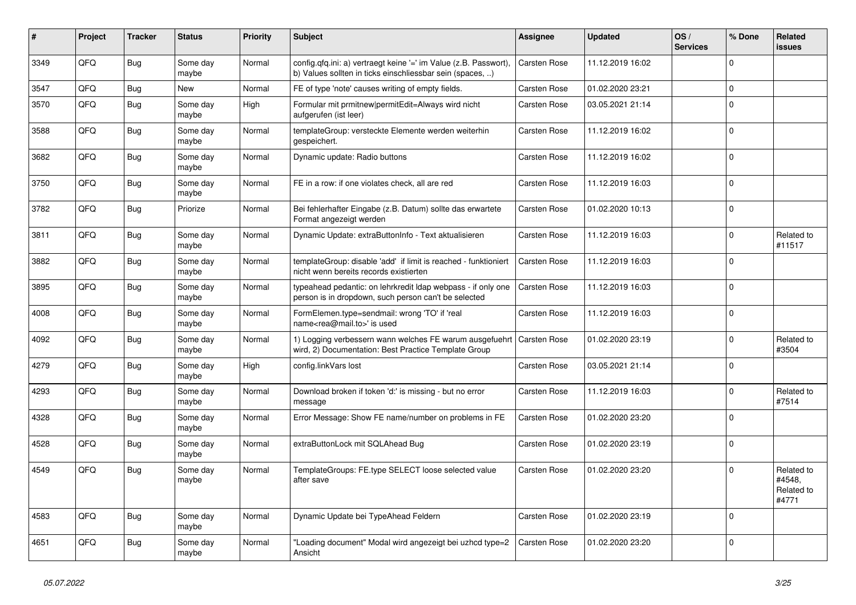| #    | Project | <b>Tracker</b> | <b>Status</b>     | <b>Priority</b> | <b>Subject</b>                                                                                                                | Assignee            | <b>Updated</b>   | OS/<br><b>Services</b> | % Done      | Related<br>issues                           |
|------|---------|----------------|-------------------|-----------------|-------------------------------------------------------------------------------------------------------------------------------|---------------------|------------------|------------------------|-------------|---------------------------------------------|
| 3349 | QFQ     | Bug            | Some day<br>maybe | Normal          | config.qfq.ini: a) vertraegt keine '=' im Value (z.B. Passwort),<br>b) Values sollten in ticks einschliessbar sein (spaces, ) | <b>Carsten Rose</b> | 11.12.2019 16:02 |                        | 0           |                                             |
| 3547 | QFQ     | Bug            | New               | Normal          | FE of type 'note' causes writing of empty fields.                                                                             | <b>Carsten Rose</b> | 01.02.2020 23:21 |                        | $\Omega$    |                                             |
| 3570 | QFQ     | <b>Bug</b>     | Some day<br>maybe | High            | Formular mit prmitnew permitEdit=Always wird nicht<br>aufgerufen (ist leer)                                                   | <b>Carsten Rose</b> | 03.05.2021 21:14 |                        | $\Omega$    |                                             |
| 3588 | QFQ     | Bug            | Some day<br>maybe | Normal          | templateGroup: versteckte Elemente werden weiterhin<br>gespeichert.                                                           | <b>Carsten Rose</b> | 11.12.2019 16:02 |                        | $\Omega$    |                                             |
| 3682 | QFQ     | Bug            | Some day<br>maybe | Normal          | Dynamic update: Radio buttons                                                                                                 | Carsten Rose        | 11.12.2019 16:02 |                        | $\Omega$    |                                             |
| 3750 | QFQ     | Bug            | Some day<br>maybe | Normal          | FE in a row: if one violates check, all are red                                                                               | Carsten Rose        | 11.12.2019 16:03 |                        | $\Omega$    |                                             |
| 3782 | QFQ     | Bug            | Priorize          | Normal          | Bei fehlerhafter Eingabe (z.B. Datum) sollte das erwartete<br>Format angezeigt werden                                         | Carsten Rose        | 01.02.2020 10:13 |                        | 0           |                                             |
| 3811 | QFQ     | Bug            | Some day<br>maybe | Normal          | Dynamic Update: extraButtonInfo - Text aktualisieren                                                                          | Carsten Rose        | 11.12.2019 16:03 |                        | $\Omega$    | Related to<br>#11517                        |
| 3882 | QFQ     | <b>Bug</b>     | Some day<br>maybe | Normal          | templateGroup: disable 'add' if limit is reached - funktioniert<br>nicht wenn bereits records existierten                     | Carsten Rose        | 11.12.2019 16:03 |                        | $\Omega$    |                                             |
| 3895 | QFQ     | <b>Bug</b>     | Some day<br>maybe | Normal          | typeahead pedantic: on lehrkredit Idap webpass - if only one<br>person is in dropdown, such person can't be selected          | <b>Carsten Rose</b> | 11.12.2019 16:03 |                        | $\Omega$    |                                             |
| 4008 | QFQ     | Bug            | Some day<br>maybe | Normal          | FormElemen.type=sendmail: wrong 'TO' if 'real<br>name <rea@mail.to>' is used</rea@mail.to>                                    | Carsten Rose        | 11.12.2019 16:03 |                        | $\Omega$    |                                             |
| 4092 | QFQ     | Bug            | Some day<br>maybe | Normal          | 1) Logging verbessern wann welches FE warum ausgefuehrt<br>wird, 2) Documentation: Best Practice Template Group               | Carsten Rose        | 01.02.2020 23:19 |                        | 0           | Related to<br>#3504                         |
| 4279 | QFQ     | Bug            | Some day<br>maybe | High            | config.linkVars lost                                                                                                          | Carsten Rose        | 03.05.2021 21:14 |                        | $\mathbf 0$ |                                             |
| 4293 | QFQ     | <b>Bug</b>     | Some day<br>maybe | Normal          | Download broken if token 'd:' is missing - but no error<br>message                                                            | Carsten Rose        | 11.12.2019 16:03 |                        | 0           | Related to<br>#7514                         |
| 4328 | QFQ     | Bug            | Some day<br>maybe | Normal          | Error Message: Show FE name/number on problems in FE                                                                          | <b>Carsten Rose</b> | 01.02.2020 23:20 |                        | $\mathbf 0$ |                                             |
| 4528 | QFQ     | <b>Bug</b>     | Some day<br>maybe | Normal          | extraButtonLock mit SQLAhead Bug                                                                                              | Carsten Rose        | 01.02.2020 23:19 |                        | $\Omega$    |                                             |
| 4549 | QFQ     | Bug            | Some day<br>maybe | Normal          | TemplateGroups: FE.type SELECT loose selected value<br>after save                                                             | <b>Carsten Rose</b> | 01.02.2020 23:20 |                        | $\Omega$    | Related to<br>#4548,<br>Related to<br>#4771 |
| 4583 | QFQ     | <b>Bug</b>     | Some day<br>maybe | Normal          | Dynamic Update bei TypeAhead Feldern                                                                                          | Carsten Rose        | 01.02.2020 23:19 |                        | $\Omega$    |                                             |
| 4651 | QFQ     | Bug            | Some day<br>maybe | Normal          | "Loading document" Modal wird angezeigt bei uzhcd type=2<br>Ansicht                                                           | Carsten Rose        | 01.02.2020 23:20 |                        | $\mathbf 0$ |                                             |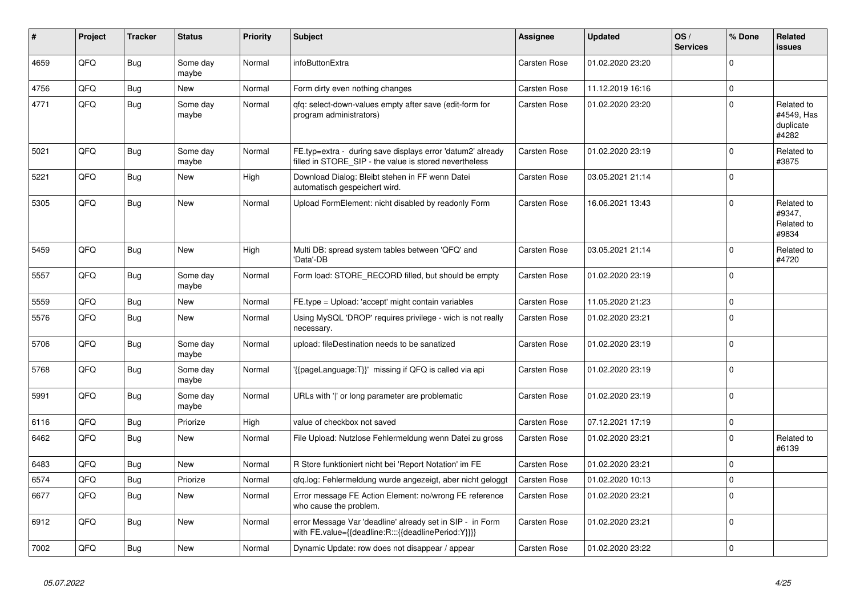| #    | Project | <b>Tracker</b> | <b>Status</b>     | <b>Priority</b> | <b>Subject</b>                                                                                                       | <b>Assignee</b> | <b>Updated</b>   | OS/<br><b>Services</b> | % Done       | Related<br><b>issues</b>                       |
|------|---------|----------------|-------------------|-----------------|----------------------------------------------------------------------------------------------------------------------|-----------------|------------------|------------------------|--------------|------------------------------------------------|
| 4659 | QFQ     | Bug            | Some day<br>maybe | Normal          | infoButtonExtra                                                                                                      | Carsten Rose    | 01.02.2020 23:20 |                        | $\mathbf 0$  |                                                |
| 4756 | QFQ     | Bug            | <b>New</b>        | Normal          | Form dirty even nothing changes                                                                                      | Carsten Rose    | 11.12.2019 16:16 |                        | $\mathbf{0}$ |                                                |
| 4771 | QFQ     | <b>Bug</b>     | Some day<br>maybe | Normal          | gfg: select-down-values empty after save (edit-form for<br>program administrators)                                   | Carsten Rose    | 01.02.2020 23:20 |                        | $\mathbf 0$  | Related to<br>#4549, Has<br>duplicate<br>#4282 |
| 5021 | QFQ     | <b>Bug</b>     | Some day<br>maybe | Normal          | FE.typ=extra - during save displays error 'datum2' already<br>filled in STORE SIP - the value is stored nevertheless | Carsten Rose    | 01.02.2020 23:19 |                        | $\Omega$     | Related to<br>#3875                            |
| 5221 | QFQ     | <b>Bug</b>     | New               | High            | Download Dialog: Bleibt stehen in FF wenn Datei<br>automatisch gespeichert wird.                                     | Carsten Rose    | 03.05.2021 21:14 |                        | $\mathbf 0$  |                                                |
| 5305 | QFQ     | <b>Bug</b>     | <b>New</b>        | Normal          | Upload FormElement: nicht disabled by readonly Form                                                                  | Carsten Rose    | 16.06.2021 13:43 |                        | $\mathbf 0$  | Related to<br>#9347,<br>Related to<br>#9834    |
| 5459 | QFQ     | <b>Bug</b>     | <b>New</b>        | High            | Multi DB: spread system tables between 'QFQ' and<br>'Data'-DB                                                        | Carsten Rose    | 03.05.2021 21:14 |                        | $\Omega$     | Related to<br>#4720                            |
| 5557 | QFQ     | <b>Bug</b>     | Some day<br>maybe | Normal          | Form load: STORE_RECORD filled, but should be empty                                                                  | Carsten Rose    | 01.02.2020 23:19 |                        | $\Omega$     |                                                |
| 5559 | QFQ     | Bug            | New               | Normal          | FE.type = Upload: 'accept' might contain variables                                                                   | Carsten Rose    | 11.05.2020 21:23 |                        | $\mathsf 0$  |                                                |
| 5576 | QFQ     | Bug            | New               | Normal          | Using MySQL 'DROP' requires privilege - wich is not really<br>necessary.                                             | Carsten Rose    | 01.02.2020 23:21 |                        | $\mathbf 0$  |                                                |
| 5706 | QFQ     | Bug            | Some day<br>maybe | Normal          | upload: fileDestination needs to be sanatized                                                                        | Carsten Rose    | 01.02.2020 23:19 |                        | $\mathbf 0$  |                                                |
| 5768 | QFQ     | <b>Bug</b>     | Some day<br>maybe | Normal          | '{{pageLanguage:T}}' missing if QFQ is called via api                                                                | Carsten Rose    | 01.02.2020 23:19 |                        | $\mathbf 0$  |                                                |
| 5991 | QFQ     | <b>Bug</b>     | Some day<br>maybe | Normal          | URLs with ' ' or long parameter are problematic                                                                      | Carsten Rose    | 01.02.2020 23:19 |                        | $\mathbf 0$  |                                                |
| 6116 | QFQ     | Bug            | Priorize          | High            | value of checkbox not saved                                                                                          | Carsten Rose    | 07.12.2021 17:19 |                        | $\mathsf 0$  |                                                |
| 6462 | QFQ     | <b>Bug</b>     | New               | Normal          | File Upload: Nutzlose Fehlermeldung wenn Datei zu gross                                                              | Carsten Rose    | 01.02.2020 23:21 |                        | $\Omega$     | Related to<br>#6139                            |
| 6483 | QFQ     | Bug            | <b>New</b>        | Normal          | R Store funktioniert nicht bei 'Report Notation' im FE                                                               | Carsten Rose    | 01.02.2020 23:21 |                        | $\mathbf 0$  |                                                |
| 6574 | QFQ     | <b>Bug</b>     | Priorize          | Normal          | qfq.log: Fehlermeldung wurde angezeigt, aber nicht geloggt                                                           | Carsten Rose    | 01.02.2020 10:13 |                        | $\mathbf 0$  |                                                |
| 6677 | QFQ     | Bug            | <b>New</b>        | Normal          | Error message FE Action Element: no/wrong FE reference<br>who cause the problem.                                     | Carsten Rose    | 01.02.2020 23:21 |                        | $\mathbf 0$  |                                                |
| 6912 | QFQ     | <b>Bug</b>     | New               | Normal          | error Message Var 'deadline' already set in SIP - in Form<br>with FE.value={{deadline:R:::{{deadlinePeriod:Y}}}}     | Carsten Rose    | 01.02.2020 23:21 |                        | $\mathbf 0$  |                                                |
| 7002 | QFQ     | Bug            | New               | Normal          | Dynamic Update: row does not disappear / appear                                                                      | Carsten Rose    | 01.02.2020 23:22 |                        | $\mathsf 0$  |                                                |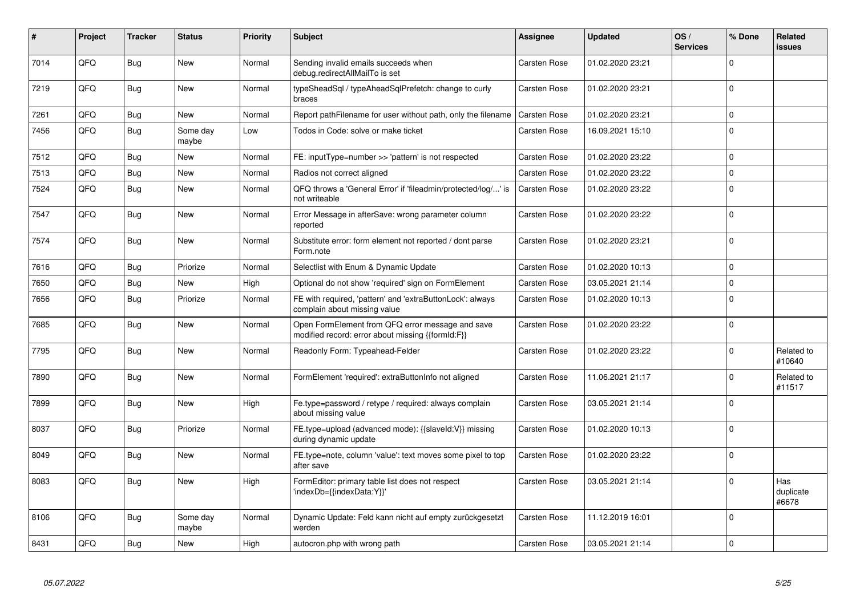| ∦    | Project | <b>Tracker</b> | <b>Status</b>     | <b>Priority</b> | <b>Subject</b>                                                                                        | Assignee            | <b>Updated</b>   | OS/<br><b>Services</b> | % Done   | Related<br>issues         |
|------|---------|----------------|-------------------|-----------------|-------------------------------------------------------------------------------------------------------|---------------------|------------------|------------------------|----------|---------------------------|
| 7014 | QFQ     | <b>Bug</b>     | New               | Normal          | Sending invalid emails succeeds when<br>debug.redirectAllMailTo is set                                | <b>Carsten Rose</b> | 01.02.2020 23:21 |                        | $\Omega$ |                           |
| 7219 | QFQ     | <b>Bug</b>     | New               | Normal          | typeSheadSql / typeAheadSqlPrefetch: change to curly<br>braces                                        | Carsten Rose        | 01.02.2020 23:21 |                        | $\Omega$ |                           |
| 7261 | QFQ     | <b>Bug</b>     | <b>New</b>        | Normal          | Report pathFilename for user without path, only the filename                                          | Carsten Rose        | 01.02.2020 23:21 |                        | $\Omega$ |                           |
| 7456 | QFQ     | <b>Bug</b>     | Some day<br>maybe | Low             | Todos in Code: solve or make ticket                                                                   | Carsten Rose        | 16.09.2021 15:10 |                        | $\Omega$ |                           |
| 7512 | QFQ     | <b>Bug</b>     | <b>New</b>        | Normal          | FE: inputType=number >> 'pattern' is not respected                                                    | Carsten Rose        | 01.02.2020 23:22 |                        | $\Omega$ |                           |
| 7513 | QFQ     | Bug            | New               | Normal          | Radios not correct aligned                                                                            | Carsten Rose        | 01.02.2020 23:22 |                        | $\Omega$ |                           |
| 7524 | QFQ     | <b>Bug</b>     | New               | Normal          | QFQ throws a 'General Error' if 'fileadmin/protected/log/' is<br>not writeable                        | Carsten Rose        | 01.02.2020 23:22 |                        | $\Omega$ |                           |
| 7547 | QFQ     | <b>Bug</b>     | New               | Normal          | Error Message in afterSave: wrong parameter column<br>reported                                        | Carsten Rose        | 01.02.2020 23:22 |                        | $\Omega$ |                           |
| 7574 | QFQ     | <b>Bug</b>     | <b>New</b>        | Normal          | Substitute error: form element not reported / dont parse<br>Form.note                                 | Carsten Rose        | 01.02.2020 23:21 |                        | $\Omega$ |                           |
| 7616 | QFQ     | Bug            | Priorize          | Normal          | Selectlist with Enum & Dynamic Update                                                                 | Carsten Rose        | 01.02.2020 10:13 |                        | $\Omega$ |                           |
| 7650 | QFQ     | <b>Bug</b>     | <b>New</b>        | High            | Optional do not show 'required' sign on FormElement                                                   | <b>Carsten Rose</b> | 03.05.2021 21:14 |                        | $\Omega$ |                           |
| 7656 | QFQ     | <b>Bug</b>     | Priorize          | Normal          | FE with required, 'pattern' and 'extraButtonLock': always<br>complain about missing value             | Carsten Rose        | 01.02.2020 10:13 |                        | $\Omega$ |                           |
| 7685 | QFQ     | <b>Bug</b>     | New               | Normal          | Open FormElement from QFQ error message and save<br>modified record: error about missing {{formId:F}} | Carsten Rose        | 01.02.2020 23:22 |                        | $\Omega$ |                           |
| 7795 | QFQ     | <b>Bug</b>     | <b>New</b>        | Normal          | Readonly Form: Typeahead-Felder                                                                       | Carsten Rose        | 01.02.2020 23:22 |                        | $\Omega$ | Related to<br>#10640      |
| 7890 | QFQ     | <b>Bug</b>     | New               | Normal          | FormElement 'required': extraButtonInfo not aligned                                                   | Carsten Rose        | 11.06.2021 21:17 |                        | $\Omega$ | Related to<br>#11517      |
| 7899 | QFQ     | Bug            | New               | High            | Fe.type=password / retype / required: always complain<br>about missing value                          | Carsten Rose        | 03.05.2021 21:14 |                        | $\Omega$ |                           |
| 8037 | QFQ     | Bug            | Priorize          | Normal          | FE.type=upload (advanced mode): {{slaveld:V}} missing<br>during dynamic update                        | Carsten Rose        | 01.02.2020 10:13 |                        | $\Omega$ |                           |
| 8049 | QFQ     | Bug            | New               | Normal          | FE.type=note, column 'value': text moves some pixel to top<br>after save                              | <b>Carsten Rose</b> | 01.02.2020 23:22 |                        | $\Omega$ |                           |
| 8083 | QFQ     | Bug            | New               | High            | FormEditor: primary table list does not respect<br>'indexDb={{indexData:Y}}'                          | <b>Carsten Rose</b> | 03.05.2021 21:14 |                        | $\Omega$ | Has<br>duplicate<br>#6678 |
| 8106 | QFQ     | Bug            | Some day<br>maybe | Normal          | Dynamic Update: Feld kann nicht auf empty zurückgesetzt<br>werden                                     | Carsten Rose        | 11.12.2019 16:01 |                        | $\Omega$ |                           |
| 8431 | QFQ     | Bug            | New               | High            | autocron.php with wrong path                                                                          | Carsten Rose        | 03.05.2021 21:14 |                        | $\Omega$ |                           |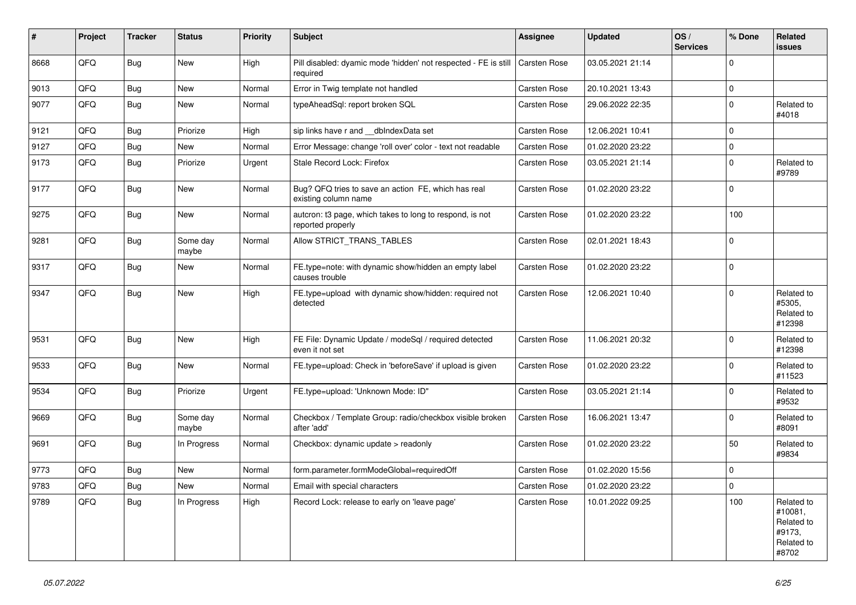| $\vert$ # | <b>Project</b> | <b>Tracker</b> | <b>Status</b>     | <b>Priority</b> | <b>Subject</b>                                                                | Assignee            | <b>Updated</b>   | OS/<br><b>Services</b> | % Done       | Related<br><b>issues</b>                                             |
|-----------|----------------|----------------|-------------------|-----------------|-------------------------------------------------------------------------------|---------------------|------------------|------------------------|--------------|----------------------------------------------------------------------|
| 8668      | QFQ            | Bug            | New               | High            | Pill disabled: dyamic mode 'hidden' not respected - FE is still<br>required   | Carsten Rose        | 03.05.2021 21:14 |                        | $\mathbf 0$  |                                                                      |
| 9013      | QFQ            | Bug            | <b>New</b>        | Normal          | Error in Twig template not handled                                            | Carsten Rose        | 20.10.2021 13:43 |                        | $\mathbf{0}$ |                                                                      |
| 9077      | QFQ            | Bug            | <b>New</b>        | Normal          | typeAheadSql: report broken SQL                                               | Carsten Rose        | 29.06.2022 22:35 |                        | $\mathbf 0$  | Related to<br>#4018                                                  |
| 9121      | QFQ            | Bug            | Priorize          | High            | sip links have r and __dbIndexData set                                        | <b>Carsten Rose</b> | 12.06.2021 10:41 |                        | $\mathbf 0$  |                                                                      |
| 9127      | QFQ            | Bug            | New               | Normal          | Error Message: change 'roll over' color - text not readable                   | Carsten Rose        | 01.02.2020 23:22 |                        | $\pmb{0}$    |                                                                      |
| 9173      | QFQ            | Bug            | Priorize          | Urgent          | Stale Record Lock: Firefox                                                    | Carsten Rose        | 03.05.2021 21:14 |                        | $\mathbf 0$  | Related to<br>#9789                                                  |
| 9177      | QFQ            | Bug            | <b>New</b>        | Normal          | Bug? QFQ tries to save an action FE, which has real<br>existing column name   | Carsten Rose        | 01.02.2020 23:22 |                        | $\mathbf 0$  |                                                                      |
| 9275      | QFQ            | Bug            | New               | Normal          | autcron: t3 page, which takes to long to respond, is not<br>reported properly | Carsten Rose        | 01.02.2020 23:22 |                        | 100          |                                                                      |
| 9281      | QFQ            | Bug            | Some day<br>maybe | Normal          | Allow STRICT_TRANS_TABLES                                                     | Carsten Rose        | 02.01.2021 18:43 |                        | $\mathbf 0$  |                                                                      |
| 9317      | QFQ            | <b>Bug</b>     | New               | Normal          | FE.type=note: with dynamic show/hidden an empty label<br>causes trouble       | Carsten Rose        | 01.02.2020 23:22 |                        | $\mathbf 0$  |                                                                      |
| 9347      | QFQ            | <b>Bug</b>     | <b>New</b>        | High            | FE.type=upload with dynamic show/hidden: required not<br>detected             | Carsten Rose        | 12.06.2021 10:40 |                        | $\mathbf 0$  | Related to<br>#5305,<br>Related to<br>#12398                         |
| 9531      | QFQ            | <b>Bug</b>     | <b>New</b>        | High            | FE File: Dynamic Update / modeSql / required detected<br>even it not set      | <b>Carsten Rose</b> | 11.06.2021 20:32 |                        | $\Omega$     | Related to<br>#12398                                                 |
| 9533      | QFQ            | Bug            | <b>New</b>        | Normal          | FE.type=upload: Check in 'beforeSave' if upload is given                      | <b>Carsten Rose</b> | 01.02.2020 23:22 |                        | $\mathbf 0$  | Related to<br>#11523                                                 |
| 9534      | QFQ            | Bug            | Priorize          | Urgent          | FE.type=upload: 'Unknown Mode: ID"                                            | Carsten Rose        | 03.05.2021 21:14 |                        | $\Omega$     | Related to<br>#9532                                                  |
| 9669      | QFQ            | Bug            | Some day<br>maybe | Normal          | Checkbox / Template Group: radio/checkbox visible broken<br>after 'add'       | Carsten Rose        | 16.06.2021 13:47 |                        | $\Omega$     | Related to<br>#8091                                                  |
| 9691      | QFQ            | Bug            | In Progress       | Normal          | Checkbox: dynamic update $>$ readonly                                         | <b>Carsten Rose</b> | 01.02.2020 23:22 |                        | 50           | Related to<br>#9834                                                  |
| 9773      | QFQ            | Bug            | New               | Normal          | form.parameter.formModeGlobal=requiredOff                                     | Carsten Rose        | 01.02.2020 15:56 |                        | $\mathbf 0$  |                                                                      |
| 9783      | QFQ            | <b>Bug</b>     | <b>New</b>        | Normal          | Email with special characters                                                 | Carsten Rose        | 01.02.2020 23:22 |                        | $\mathbf{0}$ |                                                                      |
| 9789      | QFQ            | Bug            | In Progress       | High            | Record Lock: release to early on 'leave page'                                 | Carsten Rose        | 10.01.2022 09:25 |                        | 100          | Related to<br>#10081,<br>Related to<br>#9173,<br>Related to<br>#8702 |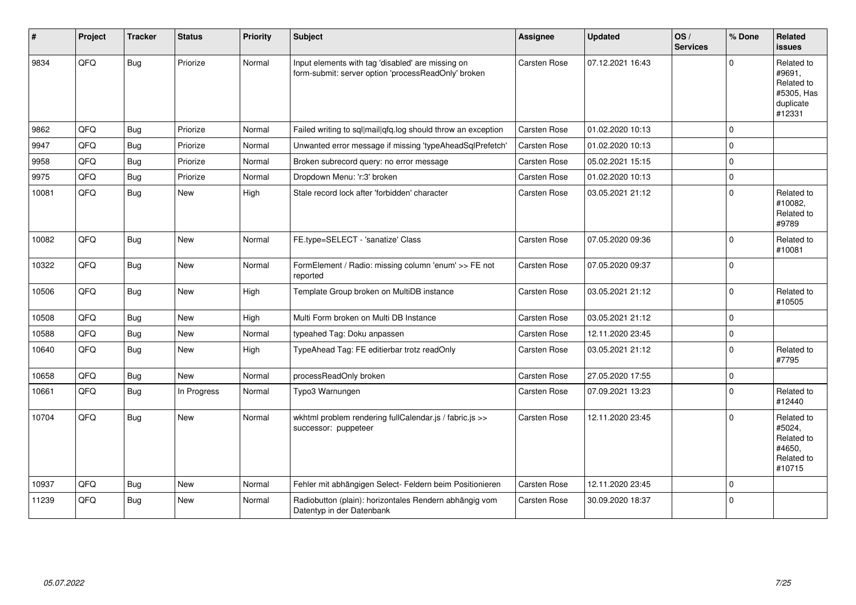| #     | Project | <b>Tracker</b> | <b>Status</b> | <b>Priority</b> | <b>Subject</b>                                                                                           | Assignee            | <b>Updated</b>   | OS/<br><b>Services</b> | % Done      | Related<br><b>issues</b>                                                |
|-------|---------|----------------|---------------|-----------------|----------------------------------------------------------------------------------------------------------|---------------------|------------------|------------------------|-------------|-------------------------------------------------------------------------|
| 9834  | QFQ     | Bug            | Priorize      | Normal          | Input elements with tag 'disabled' are missing on<br>form-submit: server option 'processReadOnly' broken | Carsten Rose        | 07.12.2021 16:43 |                        | $\Omega$    | Related to<br>#9691,<br>Related to<br>#5305, Has<br>duplicate<br>#12331 |
| 9862  | QFQ     | Bug            | Priorize      | Normal          | Failed writing to sql mail qfq.log should throw an exception                                             | <b>Carsten Rose</b> | 01.02.2020 10:13 |                        | $\Omega$    |                                                                         |
| 9947  | QFQ     | <b>Bug</b>     | Priorize      | Normal          | Unwanted error message if missing 'typeAheadSqlPrefetch'                                                 | Carsten Rose        | 01.02.2020 10:13 |                        | 0           |                                                                         |
| 9958  | QFQ     | Bug            | Priorize      | Normal          | Broken subrecord query: no error message                                                                 | Carsten Rose        | 05.02.2021 15:15 |                        | 0           |                                                                         |
| 9975  | QFQ     | Bug            | Priorize      | Normal          | Dropdown Menu: 'r:3' broken                                                                              | <b>Carsten Rose</b> | 01.02.2020 10:13 |                        | $\Omega$    |                                                                         |
| 10081 | QFQ     | Bug            | New           | High            | Stale record lock after 'forbidden' character                                                            | Carsten Rose        | 03.05.2021 21:12 |                        | $\Omega$    | Related to<br>#10082.<br>Related to<br>#9789                            |
| 10082 | QFQ     | Bug            | <b>New</b>    | Normal          | FE.type=SELECT - 'sanatize' Class                                                                        | Carsten Rose        | 07.05.2020 09:36 |                        | $\Omega$    | Related to<br>#10081                                                    |
| 10322 | QFQ     | Bug            | <b>New</b>    | Normal          | FormElement / Radio: missing column 'enum' >> FE not<br>reported                                         | Carsten Rose        | 07.05.2020 09:37 |                        | $\mathbf 0$ |                                                                         |
| 10506 | QFQ     | Bug            | New           | High            | Template Group broken on MultiDB instance                                                                | Carsten Rose        | 03.05.2021 21:12 |                        | $\Omega$    | Related to<br>#10505                                                    |
| 10508 | QFQ     | Bug            | New           | High            | Multi Form broken on Multi DB Instance                                                                   | Carsten Rose        | 03.05.2021 21:12 |                        | $\mathbf 0$ |                                                                         |
| 10588 | QFQ     | Bug            | <b>New</b>    | Normal          | typeahed Tag: Doku anpassen                                                                              | Carsten Rose        | 12.11.2020 23:45 |                        | $\pmb{0}$   |                                                                         |
| 10640 | QFQ     | Bug            | <b>New</b>    | High            | TypeAhead Tag: FE editierbar trotz readOnly                                                              | Carsten Rose        | 03.05.2021 21:12 |                        | 0           | Related to<br>#7795                                                     |
| 10658 | QFQ     | Bug            | New           | Normal          | processReadOnly broken                                                                                   | Carsten Rose        | 27.05.2020 17:55 |                        | $\pmb{0}$   |                                                                         |
| 10661 | QFQ     | Bug            | In Progress   | Normal          | Typo3 Warnungen                                                                                          | Carsten Rose        | 07.09.2021 13:23 |                        | $\mathbf 0$ | Related to<br>#12440                                                    |
| 10704 | QFQ     | Bug            | New           | Normal          | wkhtml problem rendering fullCalendar.js / fabric.js >><br>successor: puppeteer                          | Carsten Rose        | 12.11.2020 23:45 |                        | $\mathbf 0$ | Related to<br>#5024,<br>Related to<br>#4650.<br>Related to<br>#10715    |
| 10937 | QFQ     | Bug            | New           | Normal          | Fehler mit abhängigen Select- Feldern beim Positionieren                                                 | Carsten Rose        | 12.11.2020 23:45 |                        | $\mathbf 0$ |                                                                         |
| 11239 | QFQ     | Bug            | <b>New</b>    | Normal          | Radiobutton (plain): horizontales Rendern abhängig vom<br>Datentyp in der Datenbank                      | Carsten Rose        | 30.09.2020 18:37 |                        | $\Omega$    |                                                                         |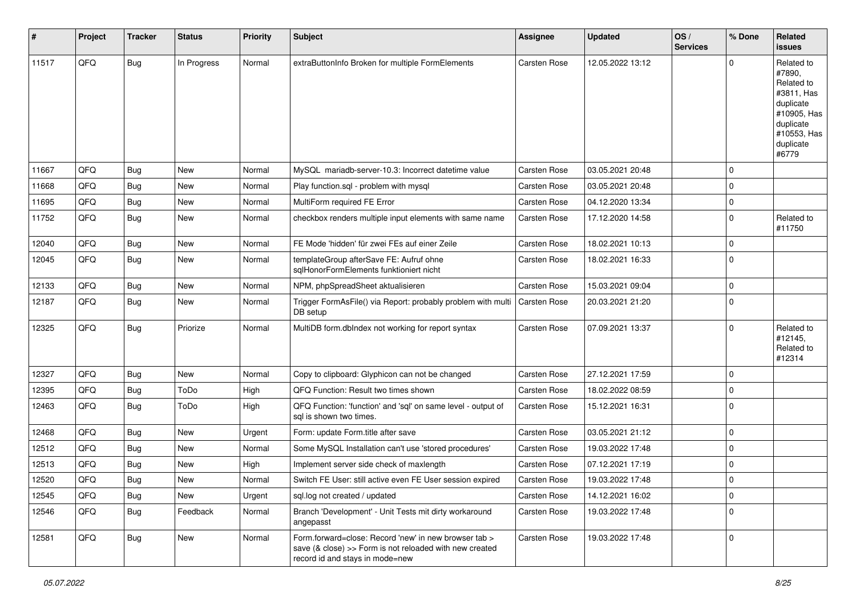| $\vert$ # | Project | <b>Tracker</b> | <b>Status</b> | <b>Priority</b> | <b>Subject</b>                                                                                                                                      | Assignee     | <b>Updated</b>   | OS/<br><b>Services</b> | % Done      | Related<br><b>issues</b>                                                                                                       |
|-----------|---------|----------------|---------------|-----------------|-----------------------------------------------------------------------------------------------------------------------------------------------------|--------------|------------------|------------------------|-------------|--------------------------------------------------------------------------------------------------------------------------------|
| 11517     | QFQ     | <b>Bug</b>     | In Progress   | Normal          | extraButtonInfo Broken for multiple FormElements                                                                                                    | Carsten Rose | 12.05.2022 13:12 |                        |             | Related to<br>#7890,<br>Related to<br>#3811, Has<br>duplicate<br>#10905, Has<br>duplicate<br>#10553, Has<br>duplicate<br>#6779 |
| 11667     | QFQ     | Bug            | <b>New</b>    | Normal          | MySQL mariadb-server-10.3: Incorrect datetime value                                                                                                 | Carsten Rose | 03.05.2021 20:48 |                        | $\Omega$    |                                                                                                                                |
| 11668     | QFQ     | Bug            | <b>New</b>    | Normal          | Play function.sql - problem with mysql                                                                                                              | Carsten Rose | 03.05.2021 20:48 |                        | $\mathbf 0$ |                                                                                                                                |
| 11695     | QFQ     | Bug            | New           | Normal          | MultiForm required FE Error                                                                                                                         | Carsten Rose | 04.12.2020 13:34 |                        | $\mathbf 0$ |                                                                                                                                |
| 11752     | QFQ     | Bug            | New           | Normal          | checkbox renders multiple input elements with same name                                                                                             | Carsten Rose | 17.12.2020 14:58 |                        | $\Omega$    | Related to<br>#11750                                                                                                           |
| 12040     | QFQ     | Bug            | <b>New</b>    | Normal          | FE Mode 'hidden' für zwei FEs auf einer Zeile                                                                                                       | Carsten Rose | 18.02.2021 10:13 |                        | $\mathbf 0$ |                                                                                                                                |
| 12045     | QFQ     | Bug            | New           | Normal          | templateGroup afterSave FE: Aufruf ohne<br>sqlHonorFormElements funktioniert nicht                                                                  | Carsten Rose | 18.02.2021 16:33 |                        | $\mathbf 0$ |                                                                                                                                |
| 12133     | QFQ     | Bug            | New           | Normal          | NPM, phpSpreadSheet aktualisieren                                                                                                                   | Carsten Rose | 15.03.2021 09:04 |                        | $\mathbf 0$ |                                                                                                                                |
| 12187     | QFQ     | Bug            | New           | Normal          | Trigger FormAsFile() via Report: probably problem with multi<br>DB setup                                                                            | Carsten Rose | 20.03.2021 21:20 |                        | $\Omega$    |                                                                                                                                |
| 12325     | QFQ     | <b>Bug</b>     | Priorize      | Normal          | MultiDB form.dblndex not working for report syntax                                                                                                  | Carsten Rose | 07.09.2021 13:37 |                        | $\Omega$    | Related to<br>#12145,<br>Related to<br>#12314                                                                                  |
| 12327     | QFQ     | Bug            | <b>New</b>    | Normal          | Copy to clipboard: Glyphicon can not be changed                                                                                                     | Carsten Rose | 27.12.2021 17:59 |                        | $\mathbf 0$ |                                                                                                                                |
| 12395     | QFQ     | Bug            | ToDo          | High            | QFQ Function: Result two times shown                                                                                                                | Carsten Rose | 18.02.2022 08:59 |                        | $\mathbf 0$ |                                                                                                                                |
| 12463     | QFQ     | <b>Bug</b>     | ToDo          | High            | QFQ Function: 'function' and 'sql' on same level - output of<br>sql is shown two times.                                                             | Carsten Rose | 15.12.2021 16:31 |                        | $\mathbf 0$ |                                                                                                                                |
| 12468     | QFQ     | Bug            | <b>New</b>    | Urgent          | Form: update Form.title after save                                                                                                                  | Carsten Rose | 03.05.2021 21:12 |                        | $\mathbf 0$ |                                                                                                                                |
| 12512     | QFQ     | Bug            | <b>New</b>    | Normal          | Some MySQL Installation can't use 'stored procedures'                                                                                               | Carsten Rose | 19.03.2022 17:48 |                        | $\mathbf 0$ |                                                                                                                                |
| 12513     | QFQ     | Bug            | New           | High            | Implement server side check of maxlength                                                                                                            | Carsten Rose | 07.12.2021 17:19 |                        | $\mathbf 0$ |                                                                                                                                |
| 12520     | QFQ     | Bug            | New           | Normal          | Switch FE User: still active even FE User session expired                                                                                           | Carsten Rose | 19.03.2022 17:48 |                        | $\Omega$    |                                                                                                                                |
| 12545     | QFQ     | <b>Bug</b>     | New           | Urgent          | sql.log not created / updated                                                                                                                       | Carsten Rose | 14.12.2021 16:02 |                        | $\mathbf 0$ |                                                                                                                                |
| 12546     | QFQ     | <b>Bug</b>     | Feedback      | Normal          | Branch 'Development' - Unit Tests mit dirty workaround<br>angepasst                                                                                 | Carsten Rose | 19.03.2022 17:48 |                        | $\mathbf 0$ |                                                                                                                                |
| 12581     | QFQ     | <b>Bug</b>     | New           | Normal          | Form.forward=close: Record 'new' in new browser tab ><br>save (& close) >> Form is not reloaded with new created<br>record id and stays in mode=new | Carsten Rose | 19.03.2022 17:48 |                        | $\mathbf 0$ |                                                                                                                                |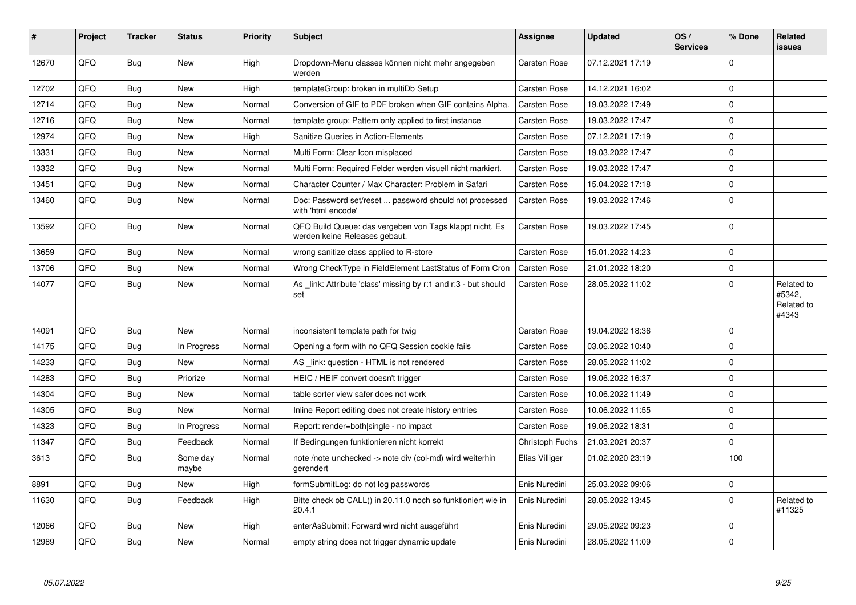| #     | Project | <b>Tracker</b> | <b>Status</b>     | <b>Priority</b> | <b>Subject</b>                                                                           | Assignee            | <b>Updated</b>   | OS/<br><b>Services</b> | % Done      | Related<br>issues                           |
|-------|---------|----------------|-------------------|-----------------|------------------------------------------------------------------------------------------|---------------------|------------------|------------------------|-------------|---------------------------------------------|
| 12670 | QFQ     | <b>Bug</b>     | New               | High            | Dropdown-Menu classes können nicht mehr angegeben<br>werden                              | Carsten Rose        | 07.12.2021 17:19 |                        | $\Omega$    |                                             |
| 12702 | QFQ     | Bug            | New               | High            | templateGroup: broken in multiDb Setup                                                   | Carsten Rose        | 14.12.2021 16:02 |                        | $\Omega$    |                                             |
| 12714 | QFQ     | Bug            | New               | Normal          | Conversion of GIF to PDF broken when GIF contains Alpha.                                 | <b>Carsten Rose</b> | 19.03.2022 17:49 |                        | $\mathbf 0$ |                                             |
| 12716 | QFQ     | <b>Bug</b>     | <b>New</b>        | Normal          | template group: Pattern only applied to first instance                                   | Carsten Rose        | 19.03.2022 17:47 |                        | $\Omega$    |                                             |
| 12974 | QFQ     | Bug            | <b>New</b>        | High            | Sanitize Queries in Action-Elements                                                      | Carsten Rose        | 07.12.2021 17:19 |                        | $\Omega$    |                                             |
| 13331 | QFQ     | Bug            | <b>New</b>        | Normal          | Multi Form: Clear Icon misplaced                                                         | <b>Carsten Rose</b> | 19.03.2022 17:47 |                        | $\Omega$    |                                             |
| 13332 | QFQ     | Bug            | New               | Normal          | Multi Form: Required Felder werden visuell nicht markiert.                               | Carsten Rose        | 19.03.2022 17:47 |                        | $\Omega$    |                                             |
| 13451 | QFQ     | Bug            | <b>New</b>        | Normal          | Character Counter / Max Character: Problem in Safari                                     | Carsten Rose        | 15.04.2022 17:18 |                        | $\mathbf 0$ |                                             |
| 13460 | QFQ     | Bug            | New               | Normal          | Doc: Password set/reset  password should not processed<br>with 'html encode'             | <b>Carsten Rose</b> | 19.03.2022 17:46 |                        | $\Omega$    |                                             |
| 13592 | QFQ     | Bug            | <b>New</b>        | Normal          | QFQ Build Queue: das vergeben von Tags klappt nicht. Es<br>werden keine Releases gebaut. | Carsten Rose        | 19.03.2022 17:45 |                        | $\Omega$    |                                             |
| 13659 | QFQ     | <b>Bug</b>     | <b>New</b>        | Normal          | wrong sanitize class applied to R-store                                                  | Carsten Rose        | 15.01.2022 14:23 |                        | $\mathbf 0$ |                                             |
| 13706 | QFQ     | Bug            | <b>New</b>        | Normal          | Wrong CheckType in FieldElement LastStatus of Form Cron                                  | <b>Carsten Rose</b> | 21.01.2022 18:20 |                        | $\mathbf 0$ |                                             |
| 14077 | QFQ     | <b>Bug</b>     | New               | Normal          | As _link: Attribute 'class' missing by r:1 and r:3 - but should<br>set                   | <b>Carsten Rose</b> | 28.05.2022 11:02 |                        | $\Omega$    | Related to<br>#5342,<br>Related to<br>#4343 |
| 14091 | QFQ     | Bug            | <b>New</b>        | Normal          | inconsistent template path for twig                                                      | Carsten Rose        | 19.04.2022 18:36 |                        | $\Omega$    |                                             |
| 14175 | QFQ     | Bug            | In Progress       | Normal          | Opening a form with no QFQ Session cookie fails                                          | <b>Carsten Rose</b> | 03.06.2022 10:40 |                        | $\Omega$    |                                             |
| 14233 | QFQ     | Bug            | <b>New</b>        | Normal          | AS link: question - HTML is not rendered                                                 | Carsten Rose        | 28.05.2022 11:02 |                        | $\Omega$    |                                             |
| 14283 | QFQ     | Bug            | Priorize          | Normal          | HEIC / HEIF convert doesn't trigger                                                      | Carsten Rose        | 19.06.2022 16:37 |                        | $\Omega$    |                                             |
| 14304 | QFQ     | Bug            | <b>New</b>        | Normal          | table sorter view safer does not work                                                    | Carsten Rose        | 10.06.2022 11:49 |                        | $\Omega$    |                                             |
| 14305 | QFQ     | Bug            | New               | Normal          | Inline Report editing does not create history entries                                    | Carsten Rose        | 10.06.2022 11:55 |                        | $\Omega$    |                                             |
| 14323 | QFQ     | Bug            | In Progress       | Normal          | Report: render=both single - no impact                                                   | <b>Carsten Rose</b> | 19.06.2022 18:31 |                        | $\Omega$    |                                             |
| 11347 | QFQ     | Bug            | Feedback          | Normal          | If Bedingungen funktionieren nicht korrekt                                               | Christoph Fuchs     | 21.03.2021 20:37 |                        | $\mathbf 0$ |                                             |
| 3613  | QFQ     | Bug            | Some day<br>maybe | Normal          | note /note unchecked -> note div (col-md) wird weiterhin<br>gerendert                    | Elias Villiger      | 01.02.2020 23:19 |                        | 100         |                                             |
| 8891  | QFQ     | Bug            | New               | High            | formSubmitLog: do not log passwords                                                      | Enis Nuredini       | 25.03.2022 09:06 |                        | $\mathbf 0$ |                                             |
| 11630 | QFQ     | <b>Bug</b>     | Feedback          | High            | Bitte check ob CALL() in 20.11.0 noch so funktioniert wie in<br>20.4.1                   | Enis Nuredini       | 28.05.2022 13:45 |                        | $\Omega$    | Related to<br>#11325                        |
| 12066 | QFQ     | Bug            | <b>New</b>        | High            | enterAsSubmit: Forward wird nicht ausgeführt                                             | Enis Nuredini       | 29.05.2022 09:23 |                        | $\mathbf 0$ |                                             |
| 12989 | QFQ     | Bug            | <b>New</b>        | Normal          | empty string does not trigger dynamic update                                             | Enis Nuredini       | 28.05.2022 11:09 |                        | $\Omega$    |                                             |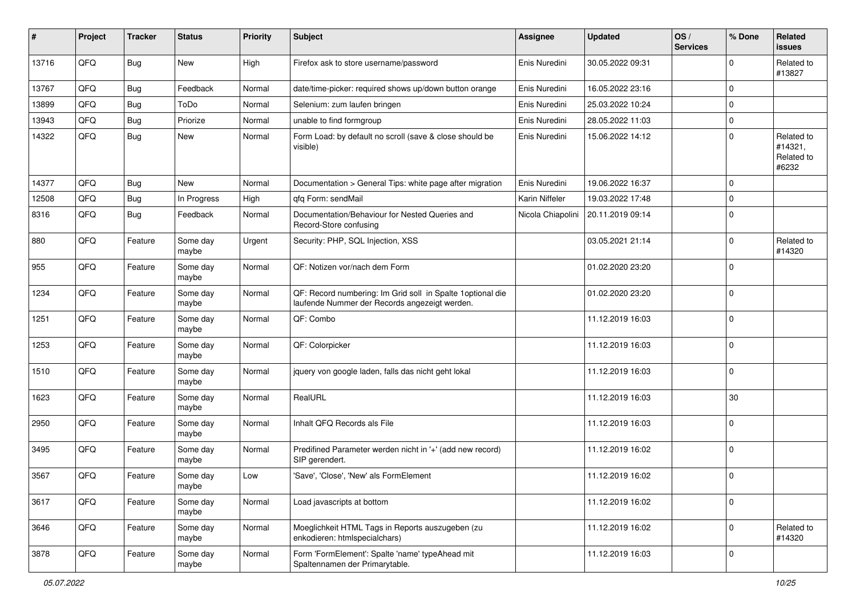| ∦     | Project | <b>Tracker</b> | <b>Status</b>     | <b>Priority</b> | <b>Subject</b>                                                                                              | <b>Assignee</b>   | <b>Updated</b>   | OS/<br><b>Services</b> | % Done      | Related<br><b>issues</b>                     |
|-------|---------|----------------|-------------------|-----------------|-------------------------------------------------------------------------------------------------------------|-------------------|------------------|------------------------|-------------|----------------------------------------------|
| 13716 | QFQ     | <b>Bug</b>     | New               | High            | Firefox ask to store username/password                                                                      | Enis Nuredini     | 30.05.2022 09:31 |                        | $\mathbf 0$ | Related to<br>#13827                         |
| 13767 | QFQ     | <b>Bug</b>     | Feedback          | Normal          | date/time-picker: required shows up/down button orange                                                      | Enis Nuredini     | 16.05.2022 23:16 |                        | $\mathbf 0$ |                                              |
| 13899 | QFQ     | <b>Bug</b>     | ToDo              | Normal          | Selenium: zum laufen bringen                                                                                | Enis Nuredini     | 25.03.2022 10:24 |                        | $\pmb{0}$   |                                              |
| 13943 | QFQ     | <b>Bug</b>     | Priorize          | Normal          | unable to find formgroup                                                                                    | Enis Nuredini     | 28.05.2022 11:03 |                        | $\mathbf 0$ |                                              |
| 14322 | QFQ     | <b>Bug</b>     | New               | Normal          | Form Load: by default no scroll (save & close should be<br>visible)                                         | Enis Nuredini     | 15.06.2022 14:12 |                        | $\mathbf 0$ | Related to<br>#14321,<br>Related to<br>#6232 |
| 14377 | QFQ     | Bug            | New               | Normal          | Documentation > General Tips: white page after migration                                                    | Enis Nuredini     | 19.06.2022 16:37 |                        | $\mathbf 0$ |                                              |
| 12508 | QFQ     | <b>Bug</b>     | In Progress       | High            | qfq Form: sendMail                                                                                          | Karin Niffeler    | 19.03.2022 17:48 |                        | $\mathbf 0$ |                                              |
| 8316  | QFQ     | <b>Bug</b>     | Feedback          | Normal          | Documentation/Behaviour for Nested Queries and<br>Record-Store confusing                                    | Nicola Chiapolini | 20.11.2019 09:14 |                        | $\mathbf 0$ |                                              |
| 880   | QFQ     | Feature        | Some day<br>maybe | Urgent          | Security: PHP, SQL Injection, XSS                                                                           |                   | 03.05.2021 21:14 |                        | $\mathbf 0$ | Related to<br>#14320                         |
| 955   | QFQ     | Feature        | Some day<br>maybe | Normal          | QF: Notizen vor/nach dem Form                                                                               |                   | 01.02.2020 23:20 |                        | $\mathbf 0$ |                                              |
| 1234  | QFQ     | Feature        | Some day<br>maybe | Normal          | QF: Record numbering: Im Grid soll in Spalte 1optional die<br>laufende Nummer der Records angezeigt werden. |                   | 01.02.2020 23:20 |                        | $\mathbf 0$ |                                              |
| 1251  | QFQ     | Feature        | Some day<br>maybe | Normal          | QF: Combo                                                                                                   |                   | 11.12.2019 16:03 |                        | $\mathsf 0$ |                                              |
| 1253  | QFQ     | Feature        | Some day<br>maybe | Normal          | QF: Colorpicker                                                                                             |                   | 11.12.2019 16:03 |                        | $\mathbf 0$ |                                              |
| 1510  | QFQ     | Feature        | Some day<br>maybe | Normal          | jquery von google laden, falls das nicht geht lokal                                                         |                   | 11.12.2019 16:03 |                        | $\mathbf 0$ |                                              |
| 1623  | QFQ     | Feature        | Some day<br>maybe | Normal          | RealURL                                                                                                     |                   | 11.12.2019 16:03 |                        | 30          |                                              |
| 2950  | QFQ     | Feature        | Some day<br>maybe | Normal          | Inhalt QFQ Records als File                                                                                 |                   | 11.12.2019 16:03 |                        | $\mathbf 0$ |                                              |
| 3495  | QFQ     | Feature        | Some day<br>maybe | Normal          | Predifined Parameter werden nicht in '+' (add new record)<br>SIP gerendert.                                 |                   | 11.12.2019 16:02 |                        | $\mathbf 0$ |                                              |
| 3567  | QFQ     | Feature        | Some day<br>maybe | Low             | 'Save', 'Close', 'New' als FormElement                                                                      |                   | 11.12.2019 16:02 |                        | $\mathbf 0$ |                                              |
| 3617  | QFQ     | Feature        | Some day<br>maybe | Normal          | Load javascripts at bottom                                                                                  |                   | 11.12.2019 16:02 |                        | $\mathsf 0$ |                                              |
| 3646  | QFQ     | Feature        | Some day<br>maybe | Normal          | Moeglichkeit HTML Tags in Reports auszugeben (zu<br>enkodieren: htmlspecialchars)                           |                   | 11.12.2019 16:02 |                        | $\mathbf 0$ | Related to<br>#14320                         |
| 3878  | QFQ     | Feature        | Some day<br>maybe | Normal          | Form 'FormElement': Spalte 'name' typeAhead mit<br>Spaltennamen der Primarytable.                           |                   | 11.12.2019 16:03 |                        | $\mathsf 0$ |                                              |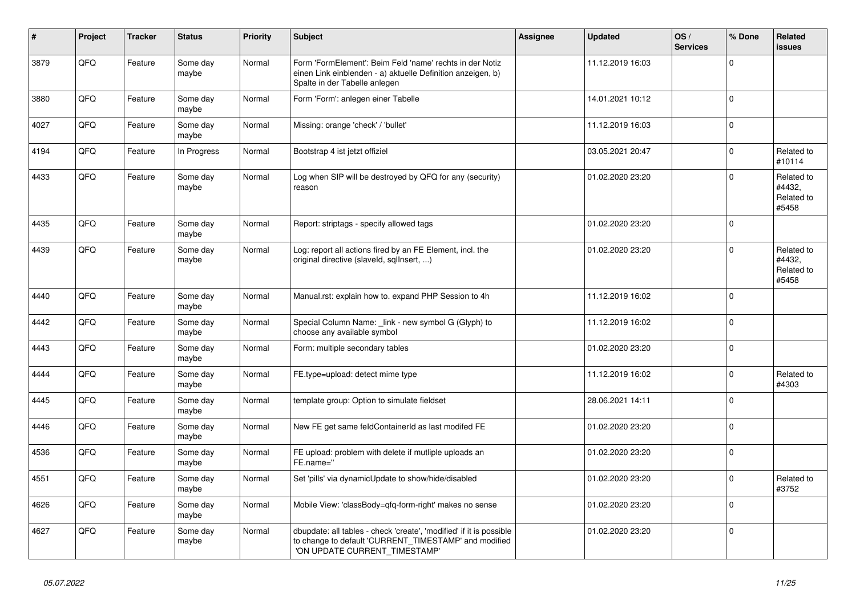| $\vert$ # | Project | <b>Tracker</b> | <b>Status</b>     | <b>Priority</b> | <b>Subject</b>                                                                                                                                                | Assignee | <b>Updated</b>   | OS/<br><b>Services</b> | % Done      | Related<br><b>issues</b>                    |
|-----------|---------|----------------|-------------------|-----------------|---------------------------------------------------------------------------------------------------------------------------------------------------------------|----------|------------------|------------------------|-------------|---------------------------------------------|
| 3879      | QFQ     | Feature        | Some day<br>maybe | Normal          | Form 'FormElement': Beim Feld 'name' rechts in der Notiz<br>einen Link einblenden - a) aktuelle Definition anzeigen, b)<br>Spalte in der Tabelle anlegen      |          | 11.12.2019 16:03 |                        | $\mathbf 0$ |                                             |
| 3880      | QFQ     | Feature        | Some day<br>maybe | Normal          | Form 'Form': anlegen einer Tabelle                                                                                                                            |          | 14.01.2021 10:12 |                        | $\mathsf 0$ |                                             |
| 4027      | QFQ     | Feature        | Some day<br>maybe | Normal          | Missing: orange 'check' / 'bullet'                                                                                                                            |          | 11.12.2019 16:03 |                        | $\Omega$    |                                             |
| 4194      | QFQ     | Feature        | In Progress       | Normal          | Bootstrap 4 ist jetzt offiziel                                                                                                                                |          | 03.05.2021 20:47 |                        | $\mathbf 0$ | Related to<br>#10114                        |
| 4433      | QFQ     | Feature        | Some day<br>maybe | Normal          | Log when SIP will be destroyed by QFQ for any (security)<br>reason                                                                                            |          | 01.02.2020 23:20 |                        | $\mathbf 0$ | Related to<br>#4432,<br>Related to<br>#5458 |
| 4435      | QFQ     | Feature        | Some day<br>maybe | Normal          | Report: striptags - specify allowed tags                                                                                                                      |          | 01.02.2020 23:20 |                        | $\mathbf 0$ |                                             |
| 4439      | QFQ     | Feature        | Some day<br>maybe | Normal          | Log: report all actions fired by an FE Element, incl. the<br>original directive (slaveld, sqllnsert, )                                                        |          | 01.02.2020 23:20 |                        | $\Omega$    | Related to<br>#4432.<br>Related to<br>#5458 |
| 4440      | QFQ     | Feature        | Some day<br>maybe | Normal          | Manual.rst: explain how to. expand PHP Session to 4h                                                                                                          |          | 11.12.2019 16:02 |                        | $\mathbf 0$ |                                             |
| 4442      | QFQ     | Feature        | Some day<br>maybe | Normal          | Special Column Name: _link - new symbol G (Glyph) to<br>choose any available symbol                                                                           |          | 11.12.2019 16:02 |                        | $\mathbf 0$ |                                             |
| 4443      | QFQ     | Feature        | Some day<br>maybe | Normal          | Form: multiple secondary tables                                                                                                                               |          | 01.02.2020 23:20 |                        | $\mathbf 0$ |                                             |
| 4444      | QFQ     | Feature        | Some day<br>maybe | Normal          | FE.type=upload: detect mime type                                                                                                                              |          | 11.12.2019 16:02 |                        | $\mathsf 0$ | Related to<br>#4303                         |
| 4445      | QFQ     | Feature        | Some day<br>maybe | Normal          | template group: Option to simulate fieldset                                                                                                                   |          | 28.06.2021 14:11 |                        | $\mathbf 0$ |                                             |
| 4446      | QFQ     | Feature        | Some day<br>maybe | Normal          | New FE get same feldContainerId as last modifed FE                                                                                                            |          | 01.02.2020 23:20 |                        | $\mathbf 0$ |                                             |
| 4536      | QFQ     | Feature        | Some day<br>maybe | Normal          | FE upload: problem with delete if mutliple uploads an<br>FE.name="                                                                                            |          | 01.02.2020 23:20 |                        | $\mathbf 0$ |                                             |
| 4551      | QFQ     | Feature        | Some day<br>maybe | Normal          | Set 'pills' via dynamicUpdate to show/hide/disabled                                                                                                           |          | 01.02.2020 23:20 |                        | $\mathsf 0$ | Related to<br>#3752                         |
| 4626      | QFQ     | Feature        | Some day<br>maybe | Normal          | Mobile View: 'classBody=qfq-form-right' makes no sense                                                                                                        |          | 01.02.2020 23:20 |                        | $\Omega$    |                                             |
| 4627      | QFQ     | Feature        | Some day<br>maybe | Normal          | dbupdate: all tables - check 'create', 'modified' if it is possible<br>to change to default 'CURRENT_TIMESTAMP' and modified<br>'ON UPDATE CURRENT_TIMESTAMP' |          | 01.02.2020 23:20 |                        | $\mathbf 0$ |                                             |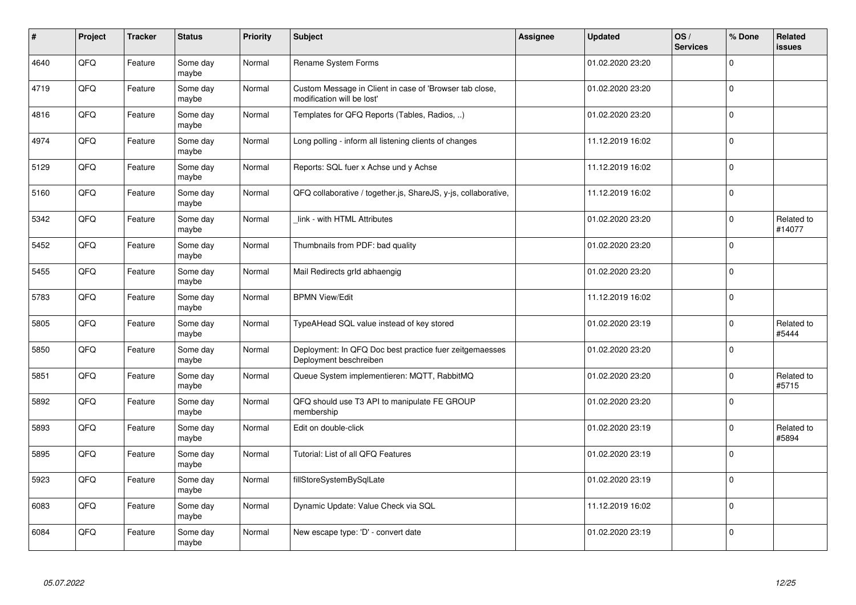| $\vert$ # | Project | <b>Tracker</b> | <b>Status</b>     | <b>Priority</b> | <b>Subject</b>                                                                        | Assignee | <b>Updated</b>   | OS/<br><b>Services</b> | % Done       | Related<br>issues    |
|-----------|---------|----------------|-------------------|-----------------|---------------------------------------------------------------------------------------|----------|------------------|------------------------|--------------|----------------------|
| 4640      | QFQ     | Feature        | Some day<br>maybe | Normal          | Rename System Forms                                                                   |          | 01.02.2020 23:20 |                        | $\Omega$     |                      |
| 4719      | QFQ     | Feature        | Some day<br>maybe | Normal          | Custom Message in Client in case of 'Browser tab close,<br>modification will be lost' |          | 01.02.2020 23:20 |                        | $\Omega$     |                      |
| 4816      | QFQ     | Feature        | Some day<br>maybe | Normal          | Templates for QFQ Reports (Tables, Radios, )                                          |          | 01.02.2020 23:20 |                        | $\Omega$     |                      |
| 4974      | QFQ     | Feature        | Some day<br>maybe | Normal          | Long polling - inform all listening clients of changes                                |          | 11.12.2019 16:02 |                        | $\Omega$     |                      |
| 5129      | QFQ     | Feature        | Some day<br>maybe | Normal          | Reports: SQL fuer x Achse und y Achse                                                 |          | 11.12.2019 16:02 |                        | $\Omega$     |                      |
| 5160      | QFQ     | Feature        | Some day<br>maybe | Normal          | QFQ collaborative / together.js, ShareJS, y-js, collaborative,                        |          | 11.12.2019 16:02 |                        | $\mathbf 0$  |                      |
| 5342      | QFQ     | Feature        | Some day<br>maybe | Normal          | link - with HTML Attributes                                                           |          | 01.02.2020 23:20 |                        | 0            | Related to<br>#14077 |
| 5452      | QFQ     | Feature        | Some day<br>maybe | Normal          | Thumbnails from PDF: bad quality                                                      |          | 01.02.2020 23:20 |                        | $\Omega$     |                      |
| 5455      | QFQ     | Feature        | Some day<br>maybe | Normal          | Mail Redirects grld abhaengig                                                         |          | 01.02.2020 23:20 |                        | $\Omega$     |                      |
| 5783      | QFQ     | Feature        | Some day<br>maybe | Normal          | <b>BPMN View/Edit</b>                                                                 |          | 11.12.2019 16:02 |                        | $\mathbf 0$  |                      |
| 5805      | QFQ     | Feature        | Some day<br>maybe | Normal          | TypeAHead SQL value instead of key stored                                             |          | 01.02.2020 23:19 |                        | $\Omega$     | Related to<br>#5444  |
| 5850      | QFQ     | Feature        | Some day<br>maybe | Normal          | Deployment: In QFQ Doc best practice fuer zeitgemaesses<br>Deployment beschreiben     |          | 01.02.2020 23:20 |                        | $\Omega$     |                      |
| 5851      | QFQ     | Feature        | Some day<br>maybe | Normal          | Queue System implementieren: MQTT, RabbitMQ                                           |          | 01.02.2020 23:20 |                        | $\mathbf 0$  | Related to<br>#5715  |
| 5892      | QFQ     | Feature        | Some day<br>maybe | Normal          | QFQ should use T3 API to manipulate FE GROUP<br>membership                            |          | 01.02.2020 23:20 |                        | $\mathbf 0$  |                      |
| 5893      | QFQ     | Feature        | Some day<br>maybe | Normal          | Edit on double-click                                                                  |          | 01.02.2020 23:19 |                        | $\Omega$     | Related to<br>#5894  |
| 5895      | QFQ     | Feature        | Some day<br>maybe | Normal          | Tutorial: List of all QFQ Features                                                    |          | 01.02.2020 23:19 |                        | $\Omega$     |                      |
| 5923      | QFQ     | Feature        | Some day<br>maybe | Normal          | fillStoreSystemBySqlLate                                                              |          | 01.02.2020 23:19 |                        | $\mathbf{0}$ |                      |
| 6083      | QFQ     | Feature        | Some day<br>maybe | Normal          | Dynamic Update: Value Check via SQL                                                   |          | 11.12.2019 16:02 |                        | $\Omega$     |                      |
| 6084      | QFQ     | Feature        | Some day<br>maybe | Normal          | New escape type: 'D' - convert date                                                   |          | 01.02.2020 23:19 |                        | $\Omega$     |                      |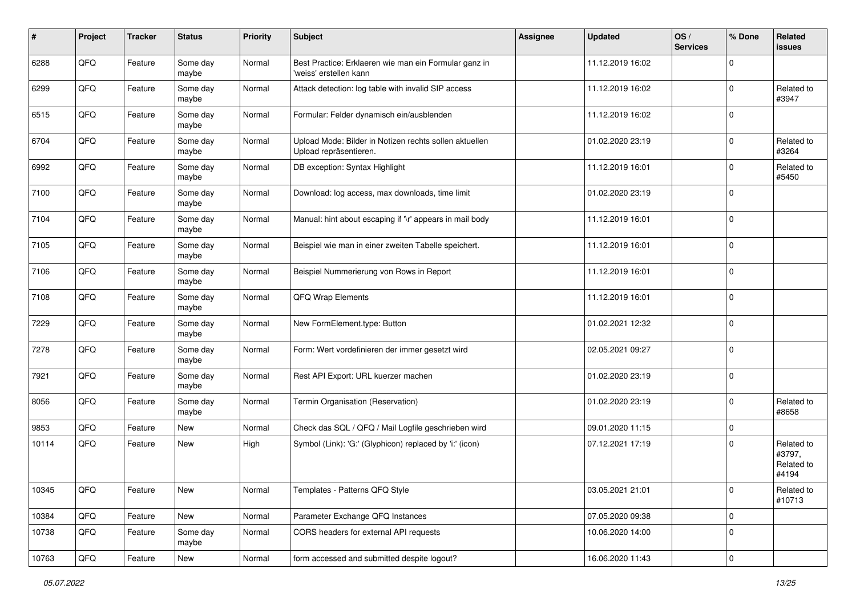| #     | Project | <b>Tracker</b> | <b>Status</b>     | <b>Priority</b> | <b>Subject</b>                                                                   | <b>Assignee</b> | <b>Updated</b>   | OS/<br><b>Services</b> | % Done         | Related<br>issues                           |
|-------|---------|----------------|-------------------|-----------------|----------------------------------------------------------------------------------|-----------------|------------------|------------------------|----------------|---------------------------------------------|
| 6288  | QFQ     | Feature        | Some day<br>maybe | Normal          | Best Practice: Erklaeren wie man ein Formular ganz in<br>'weiss' erstellen kann  |                 | 11.12.2019 16:02 |                        | $\mathbf 0$    |                                             |
| 6299  | QFQ     | Feature        | Some day<br>maybe | Normal          | Attack detection: log table with invalid SIP access                              |                 | 11.12.2019 16:02 |                        | $\Omega$       | Related to<br>#3947                         |
| 6515  | QFQ     | Feature        | Some day<br>maybe | Normal          | Formular: Felder dynamisch ein/ausblenden                                        |                 | 11.12.2019 16:02 |                        | $\Omega$       |                                             |
| 6704  | QFQ     | Feature        | Some day<br>maybe | Normal          | Upload Mode: Bilder in Notizen rechts sollen aktuellen<br>Upload repräsentieren. |                 | 01.02.2020 23:19 |                        | $\Omega$       | Related to<br>#3264                         |
| 6992  | QFQ     | Feature        | Some day<br>maybe | Normal          | DB exception: Syntax Highlight                                                   |                 | 11.12.2019 16:01 |                        | $\Omega$       | Related to<br>#5450                         |
| 7100  | QFQ     | Feature        | Some day<br>maybe | Normal          | Download: log access, max downloads, time limit                                  |                 | 01.02.2020 23:19 |                        | $\Omega$       |                                             |
| 7104  | QFQ     | Feature        | Some day<br>maybe | Normal          | Manual: hint about escaping if '\r' appears in mail body                         |                 | 11.12.2019 16:01 |                        | $\Omega$       |                                             |
| 7105  | QFQ     | Feature        | Some day<br>maybe | Normal          | Beispiel wie man in einer zweiten Tabelle speichert.                             |                 | 11.12.2019 16:01 |                        | $\mathbf 0$    |                                             |
| 7106  | QFQ     | Feature        | Some day<br>maybe | Normal          | Beispiel Nummerierung von Rows in Report                                         |                 | 11.12.2019 16:01 |                        | $\mathbf 0$    |                                             |
| 7108  | QFQ     | Feature        | Some day<br>maybe | Normal          | QFQ Wrap Elements                                                                |                 | 11.12.2019 16:01 |                        | $\Omega$       |                                             |
| 7229  | QFQ     | Feature        | Some day<br>maybe | Normal          | New FormElement.type: Button                                                     |                 | 01.02.2021 12:32 |                        | $\Omega$       |                                             |
| 7278  | QFQ     | Feature        | Some day<br>maybe | Normal          | Form: Wert vordefinieren der immer gesetzt wird                                  |                 | 02.05.2021 09:27 |                        | $\mathbf 0$    |                                             |
| 7921  | QFQ     | Feature        | Some day<br>maybe | Normal          | Rest API Export: URL kuerzer machen                                              |                 | 01.02.2020 23:19 |                        | $\Omega$       |                                             |
| 8056  | QFQ     | Feature        | Some day<br>maybe | Normal          | Termin Organisation (Reservation)                                                |                 | 01.02.2020 23:19 |                        | $\Omega$       | Related to<br>#8658                         |
| 9853  | QFQ     | Feature        | <b>New</b>        | Normal          | Check das SQL / QFQ / Mail Logfile geschrieben wird                              |                 | 09.01.2020 11:15 |                        | $\mathbf 0$    |                                             |
| 10114 | QFQ     | Feature        | New               | High            | Symbol (Link): 'G:' (Glyphicon) replaced by 'i:' (icon)                          |                 | 07.12.2021 17:19 |                        | $\Omega$       | Related to<br>#3797,<br>Related to<br>#4194 |
| 10345 | QFQ     | Feature        | New               | Normal          | Templates - Patterns QFQ Style                                                   |                 | 03.05.2021 21:01 |                        | 0              | Related to<br>#10713                        |
| 10384 | QFQ     | Feature        | New               | Normal          | Parameter Exchange QFQ Instances                                                 |                 | 07.05.2020 09:38 |                        | $\mathbf 0$    |                                             |
| 10738 | QFQ     | Feature        | Some day<br>maybe | Normal          | CORS headers for external API requests                                           |                 | 10.06.2020 14:00 |                        | 0              |                                             |
| 10763 | QFG     | Feature        | New               | Normal          | form accessed and submitted despite logout?                                      |                 | 16.06.2020 11:43 |                        | $\overline{0}$ |                                             |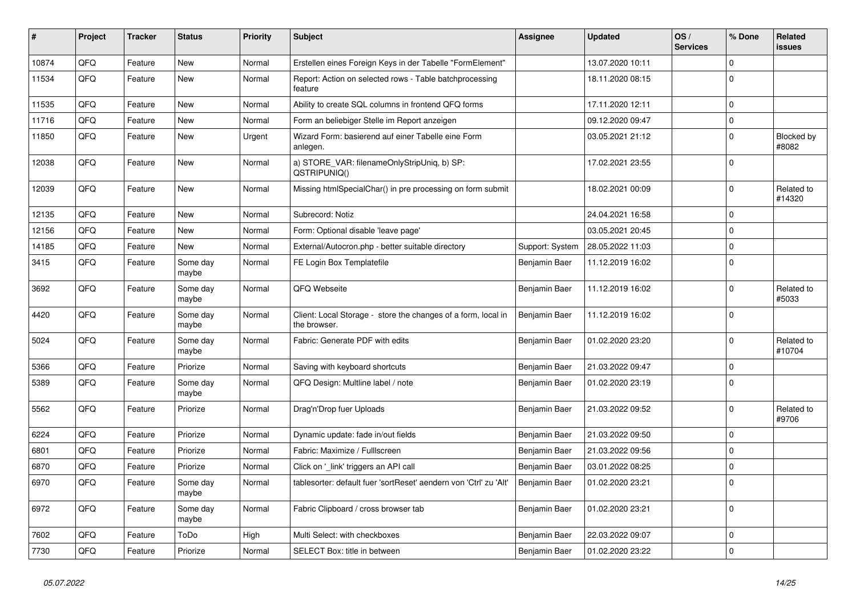| $\vert$ # | Project | <b>Tracker</b> | <b>Status</b>     | <b>Priority</b> | <b>Subject</b>                                                                | Assignee        | <b>Updated</b>   | OS/<br><b>Services</b> | % Done      | Related<br>issues    |
|-----------|---------|----------------|-------------------|-----------------|-------------------------------------------------------------------------------|-----------------|------------------|------------------------|-------------|----------------------|
| 10874     | QFQ     | Feature        | <b>New</b>        | Normal          | Erstellen eines Foreign Keys in der Tabelle "FormElement"                     |                 | 13.07.2020 10:11 |                        | $\Omega$    |                      |
| 11534     | QFQ     | Feature        | New               | Normal          | Report: Action on selected rows - Table batchprocessing<br>feature            |                 | 18.11.2020 08:15 |                        | $\Omega$    |                      |
| 11535     | QFQ     | Feature        | <b>New</b>        | Normal          | Ability to create SQL columns in frontend QFQ forms                           |                 | 17.11.2020 12:11 |                        | $\Omega$    |                      |
| 11716     | QFQ     | Feature        | <b>New</b>        | Normal          | Form an beliebiger Stelle im Report anzeigen                                  |                 | 09.12.2020 09:47 |                        | $\Omega$    |                      |
| 11850     | QFQ     | Feature        | New               | Urgent          | Wizard Form: basierend auf einer Tabelle eine Form<br>anlegen.                |                 | 03.05.2021 21:12 |                        | $\mathbf 0$ | Blocked by<br>#8082  |
| 12038     | QFQ     | Feature        | New               | Normal          | a) STORE_VAR: filenameOnlyStripUniq, b) SP:<br>QSTRIPUNIQ()                   |                 | 17.02.2021 23:55 |                        | $\Omega$    |                      |
| 12039     | QFQ     | Feature        | <b>New</b>        | Normal          | Missing htmlSpecialChar() in pre processing on form submit                    |                 | 18.02.2021 00:09 |                        | $\Omega$    | Related to<br>#14320 |
| 12135     | QFQ     | Feature        | <b>New</b>        | Normal          | Subrecord: Notiz                                                              |                 | 24.04.2021 16:58 |                        | $\mathbf 0$ |                      |
| 12156     | QFQ     | Feature        | <b>New</b>        | Normal          | Form: Optional disable 'leave page'                                           |                 | 03.05.2021 20:45 |                        | $\Omega$    |                      |
| 14185     | QFQ     | Feature        | New               | Normal          | External/Autocron.php - better suitable directory                             | Support: System | 28.05.2022 11:03 |                        | $\mathbf 0$ |                      |
| 3415      | QFQ     | Feature        | Some day<br>maybe | Normal          | FE Login Box Templatefile                                                     | Benjamin Baer   | 11.12.2019 16:02 |                        | $\mathbf 0$ |                      |
| 3692      | QFQ     | Feature        | Some day<br>maybe | Normal          | QFQ Webseite                                                                  | Benjamin Baer   | 11.12.2019 16:02 |                        | $\Omega$    | Related to<br>#5033  |
| 4420      | QFQ     | Feature        | Some day<br>maybe | Normal          | Client: Local Storage - store the changes of a form, local in<br>the browser. | Benjamin Baer   | 11.12.2019 16:02 |                        | $\Omega$    |                      |
| 5024      | QFQ     | Feature        | Some day<br>maybe | Normal          | Fabric: Generate PDF with edits                                               | Benjamin Baer   | 01.02.2020 23:20 |                        | $\Omega$    | Related to<br>#10704 |
| 5366      | QFQ     | Feature        | Priorize          | Normal          | Saving with keyboard shortcuts                                                | Benjamin Baer   | 21.03.2022 09:47 |                        | $\Omega$    |                      |
| 5389      | QFQ     | Feature        | Some day<br>maybe | Normal          | QFQ Design: Multline label / note                                             | Benjamin Baer   | 01.02.2020 23:19 |                        | $\Omega$    |                      |
| 5562      | QFQ     | Feature        | Priorize          | Normal          | Drag'n'Drop fuer Uploads                                                      | Benjamin Baer   | 21.03.2022 09:52 |                        | $\Omega$    | Related to<br>#9706  |
| 6224      | QFQ     | Feature        | Priorize          | Normal          | Dynamic update: fade in/out fields                                            | Benjamin Baer   | 21.03.2022 09:50 |                        | $\mathbf 0$ |                      |
| 6801      | QFQ     | Feature        | Priorize          | Normal          | Fabric: Maximize / FullIscreen                                                | Benjamin Baer   | 21.03.2022 09:56 |                        | $\Omega$    |                      |
| 6870      | QFQ     | Feature        | Priorize          | Normal          | Click on '_link' triggers an API call                                         | Benjamin Baer   | 03.01.2022 08:25 |                        | $\Omega$    |                      |
| 6970      | QFQ     | Feature        | Some day<br>maybe | Normal          | tablesorter: default fuer 'sortReset' aendern von 'Ctrl' zu 'Alt'             | Benjamin Baer   | 01.02.2020 23:21 |                        | $\Omega$    |                      |
| 6972      | QFQ     | Feature        | Some day<br>maybe | Normal          | Fabric Clipboard / cross browser tab                                          | Benjamin Baer   | 01.02.2020 23:21 |                        | $\mathbf 0$ |                      |
| 7602      | QFQ     | Feature        | ToDo              | High            | Multi Select: with checkboxes                                                 | Benjamin Baer   | 22.03.2022 09:07 |                        | $\Omega$    |                      |
| 7730      | QFQ     | Feature        | Priorize          | Normal          | SELECT Box: title in between                                                  | Benjamin Baer   | 01.02.2020 23:22 |                        | $\Omega$    |                      |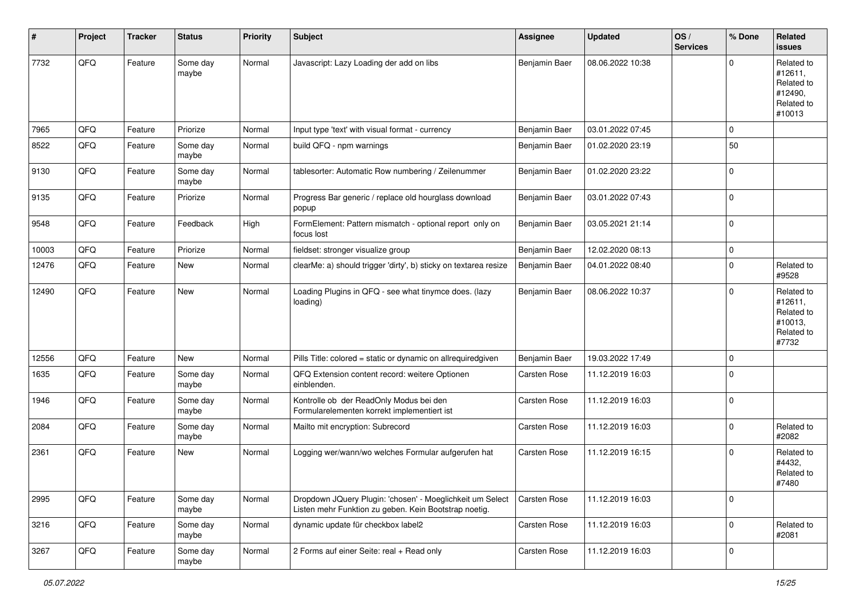| ∦     | Project | <b>Tracker</b> | <b>Status</b>     | <b>Priority</b> | Subject                                                                                                            | <b>Assignee</b> | <b>Updated</b>   | OS/<br><b>Services</b> | % Done      | Related<br>issues                                                      |
|-------|---------|----------------|-------------------|-----------------|--------------------------------------------------------------------------------------------------------------------|-----------------|------------------|------------------------|-------------|------------------------------------------------------------------------|
| 7732  | QFQ     | Feature        | Some day<br>maybe | Normal          | Javascript: Lazy Loading der add on libs                                                                           | Benjamin Baer   | 08.06.2022 10:38 |                        | $\mathbf 0$ | Related to<br>#12611,<br>Related to<br>#12490,<br>Related to<br>#10013 |
| 7965  | QFQ     | Feature        | Priorize          | Normal          | Input type 'text' with visual format - currency                                                                    | Benjamin Baer   | 03.01.2022 07:45 |                        | $\mathbf 0$ |                                                                        |
| 8522  | QFQ     | Feature        | Some day<br>maybe | Normal          | build QFQ - npm warnings                                                                                           | Benjamin Baer   | 01.02.2020 23:19 |                        | 50          |                                                                        |
| 9130  | QFQ     | Feature        | Some day<br>maybe | Normal          | tablesorter: Automatic Row numbering / Zeilenummer                                                                 | Benjamin Baer   | 01.02.2020 23:22 |                        | $\mathbf 0$ |                                                                        |
| 9135  | QFQ     | Feature        | Priorize          | Normal          | Progress Bar generic / replace old hourglass download<br>popup                                                     | Benjamin Baer   | 03.01.2022 07:43 |                        | $\pmb{0}$   |                                                                        |
| 9548  | QFQ     | Feature        | Feedback          | High            | FormElement: Pattern mismatch - optional report only on<br>focus lost                                              | Benjamin Baer   | 03.05.2021 21:14 |                        | $\mathbf 0$ |                                                                        |
| 10003 | QFQ     | Feature        | Priorize          | Normal          | fieldset: stronger visualize group                                                                                 | Benjamin Baer   | 12.02.2020 08:13 |                        | $\mathbf 0$ |                                                                        |
| 12476 | QFQ     | Feature        | New               | Normal          | clearMe: a) should trigger 'dirty', b) sticky on textarea resize                                                   | Benjamin Baer   | 04.01.2022 08:40 |                        | $\mathbf 0$ | Related to<br>#9528                                                    |
| 12490 | QFQ     | Feature        | New               | Normal          | Loading Plugins in QFQ - see what tinymce does. (lazy<br>loading)                                                  | Benjamin Baer   | 08.06.2022 10:37 |                        | $\mathbf 0$ | Related to<br>#12611,<br>Related to<br>#10013,<br>Related to<br>#7732  |
| 12556 | QFQ     | Feature        | New               | Normal          | Pills Title: colored = static or dynamic on allrequiredgiven                                                       | Benjamin Baer   | 19.03.2022 17:49 |                        | $\mathbf 0$ |                                                                        |
| 1635  | QFQ     | Feature        | Some day<br>maybe | Normal          | QFQ Extension content record: weitere Optionen<br>einblenden.                                                      | Carsten Rose    | 11.12.2019 16:03 |                        | $\mathbf 0$ |                                                                        |
| 1946  | QFQ     | Feature        | Some day<br>maybe | Normal          | Kontrolle ob der ReadOnly Modus bei den<br>Formularelementen korrekt implementiert ist                             | Carsten Rose    | 11.12.2019 16:03 |                        | $\mathbf 0$ |                                                                        |
| 2084  | QFQ     | Feature        | Some day<br>maybe | Normal          | Mailto mit encryption: Subrecord                                                                                   | Carsten Rose    | 11.12.2019 16:03 |                        | $\mathbf 0$ | Related to<br>#2082                                                    |
| 2361  | QFQ     | Feature        | New               | Normal          | Logging wer/wann/wo welches Formular aufgerufen hat                                                                | Carsten Rose    | 11.12.2019 16:15 |                        | 0           | Related to<br>#4432,<br>Related to<br>#7480                            |
| 2995  | QFQ     | Feature        | Some day<br>maybe | Normal          | Dropdown JQuery Plugin: 'chosen' - Moeglichkeit um Select<br>Listen mehr Funktion zu geben. Kein Bootstrap noetig. | Carsten Rose    | 11.12.2019 16:03 |                        | $\mathbf 0$ |                                                                        |
| 3216  | QFQ     | Feature        | Some day<br>maybe | Normal          | dynamic update für checkbox label2                                                                                 | Carsten Rose    | 11.12.2019 16:03 |                        | $\mathbf 0$ | Related to<br>#2081                                                    |
| 3267  | QFQ     | Feature        | Some day<br>maybe | Normal          | 2 Forms auf einer Seite: real + Read only                                                                          | Carsten Rose    | 11.12.2019 16:03 |                        | 0           |                                                                        |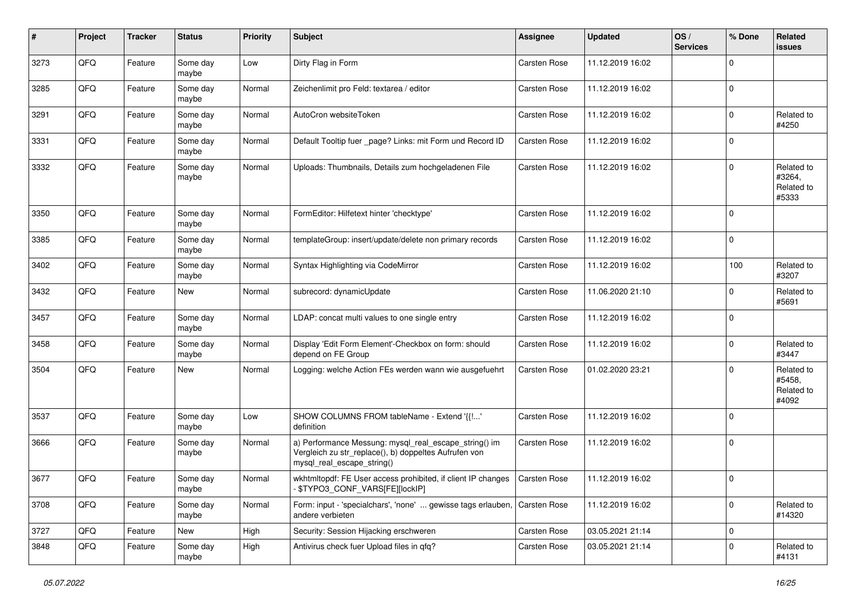| $\sharp$ | Project | <b>Tracker</b> | <b>Status</b>     | <b>Priority</b> | <b>Subject</b>                                                                                                                               | <b>Assignee</b>     | <b>Updated</b>   | OS/<br><b>Services</b> | % Done      | Related<br><b>issues</b>                    |
|----------|---------|----------------|-------------------|-----------------|----------------------------------------------------------------------------------------------------------------------------------------------|---------------------|------------------|------------------------|-------------|---------------------------------------------|
| 3273     | QFQ     | Feature        | Some day<br>maybe | Low             | Dirty Flag in Form                                                                                                                           | Carsten Rose        | 11.12.2019 16:02 |                        | $\mathbf 0$ |                                             |
| 3285     | QFQ     | Feature        | Some day<br>maybe | Normal          | Zeichenlimit pro Feld: textarea / editor                                                                                                     | <b>Carsten Rose</b> | 11.12.2019 16:02 |                        | $\mathbf 0$ |                                             |
| 3291     | QFQ     | Feature        | Some day<br>maybe | Normal          | AutoCron websiteToken                                                                                                                        | Carsten Rose        | 11.12.2019 16:02 |                        | $\mathbf 0$ | Related to<br>#4250                         |
| 3331     | QFQ     | Feature        | Some day<br>maybe | Normal          | Default Tooltip fuer _page? Links: mit Form und Record ID                                                                                    | Carsten Rose        | 11.12.2019 16:02 |                        | $\mathbf 0$ |                                             |
| 3332     | QFQ     | Feature        | Some day<br>maybe | Normal          | Uploads: Thumbnails, Details zum hochgeladenen File                                                                                          | <b>Carsten Rose</b> | 11.12.2019 16:02 |                        | $\mathbf 0$ | Related to<br>#3264,<br>Related to<br>#5333 |
| 3350     | QFQ     | Feature        | Some day<br>maybe | Normal          | FormEditor: Hilfetext hinter 'checktype'                                                                                                     | Carsten Rose        | 11.12.2019 16:02 |                        | $\mathbf 0$ |                                             |
| 3385     | QFQ     | Feature        | Some day<br>maybe | Normal          | templateGroup: insert/update/delete non primary records                                                                                      | Carsten Rose        | 11.12.2019 16:02 |                        | $\mathbf 0$ |                                             |
| 3402     | QFQ     | Feature        | Some day<br>maybe | Normal          | Syntax Highlighting via CodeMirror                                                                                                           | Carsten Rose        | 11.12.2019 16:02 |                        | 100         | Related to<br>#3207                         |
| 3432     | QFQ     | Feature        | New               | Normal          | subrecord: dynamicUpdate                                                                                                                     | <b>Carsten Rose</b> | 11.06.2020 21:10 |                        | $\mathbf 0$ | Related to<br>#5691                         |
| 3457     | QFQ     | Feature        | Some day<br>maybe | Normal          | LDAP: concat multi values to one single entry                                                                                                | Carsten Rose        | 11.12.2019 16:02 |                        | $\mathbf 0$ |                                             |
| 3458     | QFQ     | Feature        | Some day<br>maybe | Normal          | Display 'Edit Form Element'-Checkbox on form: should<br>depend on FE Group                                                                   | Carsten Rose        | 11.12.2019 16:02 |                        | $\mathbf 0$ | Related to<br>#3447                         |
| 3504     | QFQ     | Feature        | New               | Normal          | Logging: welche Action FEs werden wann wie ausgefuehrt                                                                                       | Carsten Rose        | 01.02.2020 23:21 |                        | $\mathbf 0$ | Related to<br>#5458,<br>Related to<br>#4092 |
| 3537     | QFQ     | Feature        | Some day<br>maybe | Low             | SHOW COLUMNS FROM tableName - Extend '{{!'<br>definition                                                                                     | Carsten Rose        | 11.12.2019 16:02 |                        | $\mathbf 0$ |                                             |
| 3666     | QFQ     | Feature        | Some day<br>maybe | Normal          | a) Performance Messung: mysql_real_escape_string() im<br>Vergleich zu str_replace(), b) doppeltes Aufrufen von<br>mysql_real_escape_string() | Carsten Rose        | 11.12.2019 16:02 |                        | $\mathbf 0$ |                                             |
| 3677     | QFQ     | Feature        | Some day<br>maybe | Normal          | wkhtmltopdf: FE User access prohibited, if client IP changes   Carsten Rose<br>\$TYPO3_CONF_VARS[FE][lockIP]                                 |                     | 11.12.2019 16:02 |                        | $\mathbf 0$ |                                             |
| 3708     | QFO     | Feature        | Some day<br>maybe | Normal          | Form: input - 'specialchars', 'none'  gewisse tags erlauben,<br>andere verbieten                                                             | Carsten Rose        | 11.12.2019 16:02 |                        | $\mathbf 0$ | Related to<br>#14320                        |
| 3727     | QFQ     | Feature        | New               | High            | Security: Session Hijacking erschweren                                                                                                       | Carsten Rose        | 03.05.2021 21:14 |                        | $\mathbf 0$ |                                             |
| 3848     | QFQ     | Feature        | Some day<br>maybe | High            | Antivirus check fuer Upload files in qfq?                                                                                                    | Carsten Rose        | 03.05.2021 21:14 |                        | $\mathbf 0$ | Related to<br>#4131                         |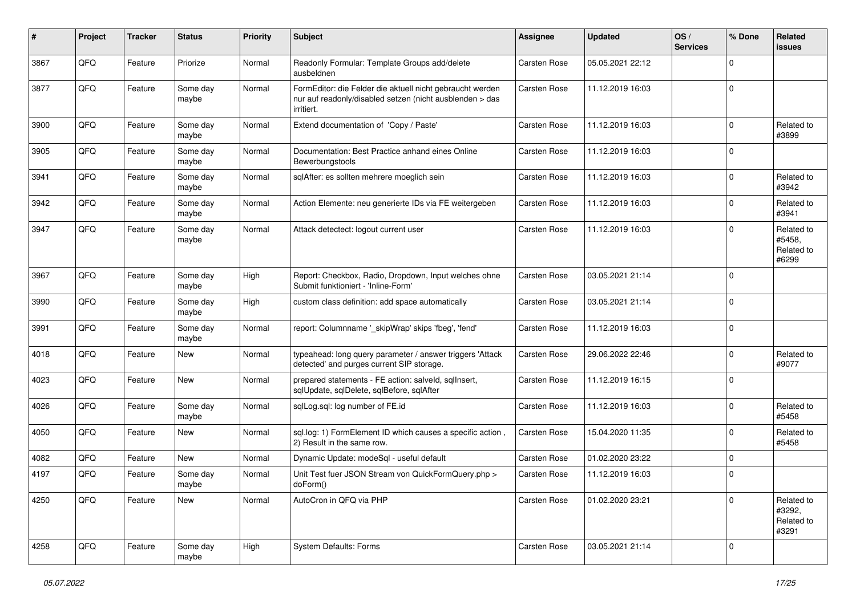| $\pmb{\#}$ | Project | <b>Tracker</b> | <b>Status</b>     | <b>Priority</b> | <b>Subject</b>                                                                                                                      | <b>Assignee</b> | <b>Updated</b>   | OS/<br><b>Services</b> | % Done      | Related<br><b>issues</b>                    |
|------------|---------|----------------|-------------------|-----------------|-------------------------------------------------------------------------------------------------------------------------------------|-----------------|------------------|------------------------|-------------|---------------------------------------------|
| 3867       | QFQ     | Feature        | Priorize          | Normal          | Readonly Formular: Template Groups add/delete<br>ausbeldnen                                                                         | Carsten Rose    | 05.05.2021 22:12 |                        | $\Omega$    |                                             |
| 3877       | QFQ     | Feature        | Some day<br>maybe | Normal          | FormEditor: die Felder die aktuell nicht gebraucht werden<br>nur auf readonly/disabled setzen (nicht ausblenden > das<br>irritiert. | Carsten Rose    | 11.12.2019 16:03 |                        | $\mathbf 0$ |                                             |
| 3900       | QFQ     | Feature        | Some day<br>maybe | Normal          | Extend documentation of 'Copy / Paste'                                                                                              | Carsten Rose    | 11.12.2019 16:03 |                        | $\mathbf 0$ | Related to<br>#3899                         |
| 3905       | QFQ     | Feature        | Some day<br>maybe | Normal          | Documentation: Best Practice anhand eines Online<br>Bewerbungstools                                                                 | Carsten Rose    | 11.12.2019 16:03 |                        | $\Omega$    |                                             |
| 3941       | QFQ     | Feature        | Some day<br>maybe | Normal          | sqlAfter: es sollten mehrere moeglich sein                                                                                          | Carsten Rose    | 11.12.2019 16:03 |                        | $\mathbf 0$ | Related to<br>#3942                         |
| 3942       | QFQ     | Feature        | Some day<br>maybe | Normal          | Action Elemente: neu generierte IDs via FE weitergeben                                                                              | Carsten Rose    | 11.12.2019 16:03 |                        | $\mathbf 0$ | Related to<br>#3941                         |
| 3947       | QFQ     | Feature        | Some day<br>maybe | Normal          | Attack detectect: logout current user                                                                                               | Carsten Rose    | 11.12.2019 16:03 |                        | $\mathbf 0$ | Related to<br>#5458,<br>Related to<br>#6299 |
| 3967       | QFQ     | Feature        | Some day<br>maybe | High            | Report: Checkbox, Radio, Dropdown, Input welches ohne<br>Submit funktioniert - 'Inline-Form'                                        | Carsten Rose    | 03.05.2021 21:14 |                        | $\Omega$    |                                             |
| 3990       | QFQ     | Feature        | Some day<br>maybe | High            | custom class definition: add space automatically                                                                                    | Carsten Rose    | 03.05.2021 21:14 |                        | $\Omega$    |                                             |
| 3991       | QFQ     | Feature        | Some day<br>maybe | Normal          | report: Columnname '_skipWrap' skips 'fbeg', 'fend'                                                                                 | Carsten Rose    | 11.12.2019 16:03 |                        | $\Omega$    |                                             |
| 4018       | QFQ     | Feature        | New               | Normal          | typeahead: long query parameter / answer triggers 'Attack<br>detected' and purges current SIP storage.                              | Carsten Rose    | 29.06.2022 22:46 |                        | $\mathbf 0$ | Related to<br>#9077                         |
| 4023       | QFQ     | Feature        | New               | Normal          | prepared statements - FE action: salveld, sqllnsert,<br>sqlUpdate, sqlDelete, sqlBefore, sqlAfter                                   | Carsten Rose    | 11.12.2019 16:15 |                        | $\mathbf 0$ |                                             |
| 4026       | QFQ     | Feature        | Some day<br>maybe | Normal          | sqlLog.sql: log number of FE.id                                                                                                     | Carsten Rose    | 11.12.2019 16:03 |                        | $\mathbf 0$ | Related to<br>#5458                         |
| 4050       | QFQ     | Feature        | New               | Normal          | sql.log: 1) FormElement ID which causes a specific action,<br>2) Result in the same row.                                            | Carsten Rose    | 15.04.2020 11:35 |                        | $\Omega$    | Related to<br>#5458                         |
| 4082       | QFQ     | Feature        | <b>New</b>        | Normal          | Dynamic Update: modeSql - useful default                                                                                            | Carsten Rose    | 01.02.2020 23:22 |                        | $\mathbf 0$ |                                             |
| 4197       | QFQ     | Feature        | Some day<br>maybe | Normal          | Unit Test fuer JSON Stream von QuickFormQuery.php ><br>doForm()                                                                     | Carsten Rose    | 11.12.2019 16:03 |                        | $\Omega$    |                                             |
| 4250       | QFQ     | Feature        | New               | Normal          | AutoCron in QFQ via PHP                                                                                                             | Carsten Rose    | 01.02.2020 23:21 |                        | $\mathbf 0$ | Related to<br>#3292,<br>Related to<br>#3291 |
| 4258       | QFQ     | Feature        | Some day<br>maybe | High            | System Defaults: Forms                                                                                                              | Carsten Rose    | 03.05.2021 21:14 |                        | $\mathbf 0$ |                                             |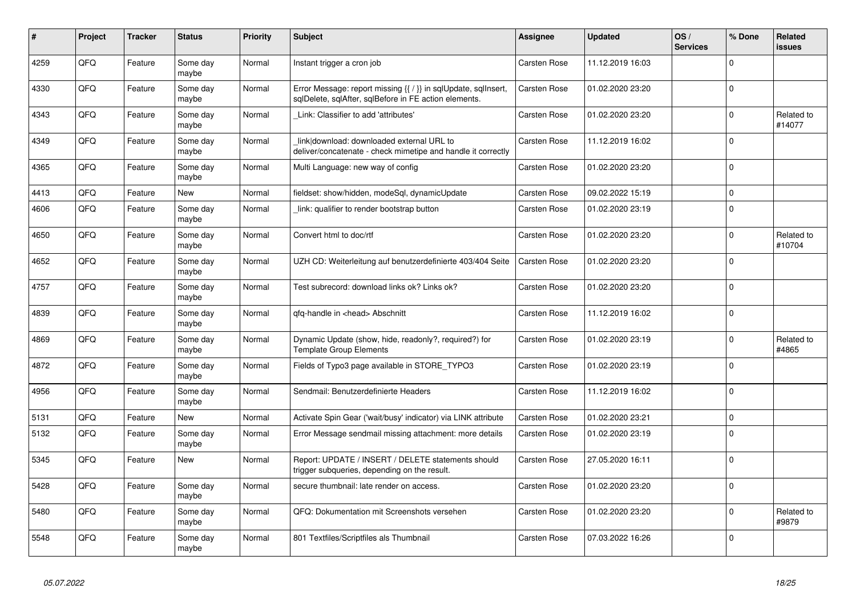| #    | Project | <b>Tracker</b> | <b>Status</b>     | <b>Priority</b> | <b>Subject</b>                                                                                                          | Assignee            | <b>Updated</b>   | OS/<br><b>Services</b> | % Done      | Related<br><b>issues</b> |
|------|---------|----------------|-------------------|-----------------|-------------------------------------------------------------------------------------------------------------------------|---------------------|------------------|------------------------|-------------|--------------------------|
| 4259 | QFQ     | Feature        | Some day<br>maybe | Normal          | Instant trigger a cron job                                                                                              | Carsten Rose        | 11.12.2019 16:03 |                        | $\Omega$    |                          |
| 4330 | QFQ     | Feature        | Some day<br>maybe | Normal          | Error Message: report missing {{ / }} in sqlUpdate, sqlInsert,<br>sglDelete, sglAfter, sglBefore in FE action elements. | Carsten Rose        | 01.02.2020 23:20 |                        | $\Omega$    |                          |
| 4343 | QFQ     | Feature        | Some day<br>maybe | Normal          | Link: Classifier to add 'attributes'                                                                                    | Carsten Rose        | 01.02.2020 23:20 |                        | $\Omega$    | Related to<br>#14077     |
| 4349 | QFQ     | Feature        | Some day<br>maybe | Normal          | link download: downloaded external URL to<br>deliver/concatenate - check mimetipe and handle it correctly               | Carsten Rose        | 11.12.2019 16:02 |                        | $\Omega$    |                          |
| 4365 | QFQ     | Feature        | Some day<br>maybe | Normal          | Multi Language: new way of config                                                                                       | Carsten Rose        | 01.02.2020 23:20 |                        | $\Omega$    |                          |
| 4413 | QFQ     | Feature        | <b>New</b>        | Normal          | fieldset: show/hidden, modeSql, dynamicUpdate                                                                           | Carsten Rose        | 09.02.2022 15:19 |                        | $\mathbf 0$ |                          |
| 4606 | QFQ     | Feature        | Some day<br>maybe | Normal          | link: qualifier to render bootstrap button                                                                              | Carsten Rose        | 01.02.2020 23:19 |                        | $\Omega$    |                          |
| 4650 | QFQ     | Feature        | Some day<br>maybe | Normal          | Convert html to doc/rtf                                                                                                 | Carsten Rose        | 01.02.2020 23:20 |                        | $\mathbf 0$ | Related to<br>#10704     |
| 4652 | QFQ     | Feature        | Some day<br>maybe | Normal          | UZH CD: Weiterleitung auf benutzerdefinierte 403/404 Seite                                                              | <b>Carsten Rose</b> | 01.02.2020 23:20 |                        | $\Omega$    |                          |
| 4757 | QFQ     | Feature        | Some day<br>maybe | Normal          | Test subrecord: download links ok? Links ok?                                                                            | Carsten Rose        | 01.02.2020 23:20 |                        | $\Omega$    |                          |
| 4839 | QFQ     | Feature        | Some day<br>maybe | Normal          | qfq-handle in <head> Abschnitt</head>                                                                                   | Carsten Rose        | 11.12.2019 16:02 |                        | $\mathbf 0$ |                          |
| 4869 | QFQ     | Feature        | Some day<br>maybe | Normal          | Dynamic Update (show, hide, readonly?, required?) for<br><b>Template Group Elements</b>                                 | Carsten Rose        | 01.02.2020 23:19 |                        | $\Omega$    | Related to<br>#4865      |
| 4872 | QFQ     | Feature        | Some day<br>maybe | Normal          | Fields of Typo3 page available in STORE_TYPO3                                                                           | Carsten Rose        | 01.02.2020 23:19 |                        | l O         |                          |
| 4956 | QFQ     | Feature        | Some day<br>maybe | Normal          | Sendmail: Benutzerdefinierte Headers                                                                                    | Carsten Rose        | 11.12.2019 16:02 |                        | $\mathbf 0$ |                          |
| 5131 | QFQ     | Feature        | <b>New</b>        | Normal          | Activate Spin Gear ('wait/busy' indicator) via LINK attribute                                                           | Carsten Rose        | 01.02.2020 23:21 |                        | $\mathbf 0$ |                          |
| 5132 | QFQ     | Feature        | Some day<br>maybe | Normal          | Error Message sendmail missing attachment: more details                                                                 | Carsten Rose        | 01.02.2020 23:19 |                        | $\mathbf 0$ |                          |
| 5345 | QFQ     | Feature        | New               | Normal          | Report: UPDATE / INSERT / DELETE statements should<br>trigger subqueries, depending on the result.                      | Carsten Rose        | 27.05.2020 16:11 |                        | $\Omega$    |                          |
| 5428 | QFQ     | Feature        | Some day<br>maybe | Normal          | secure thumbnail: late render on access.                                                                                | Carsten Rose        | 01.02.2020 23:20 |                        | $\Omega$    |                          |
| 5480 | QFQ     | Feature        | Some day<br>maybe | Normal          | QFQ: Dokumentation mit Screenshots versehen                                                                             | Carsten Rose        | 01.02.2020 23:20 |                        | $\mathbf 0$ | Related to<br>#9879      |
| 5548 | QFQ     | Feature        | Some day<br>maybe | Normal          | 801 Textfiles/Scriptfiles als Thumbnail                                                                                 | Carsten Rose        | 07.03.2022 16:26 |                        | $\Omega$    |                          |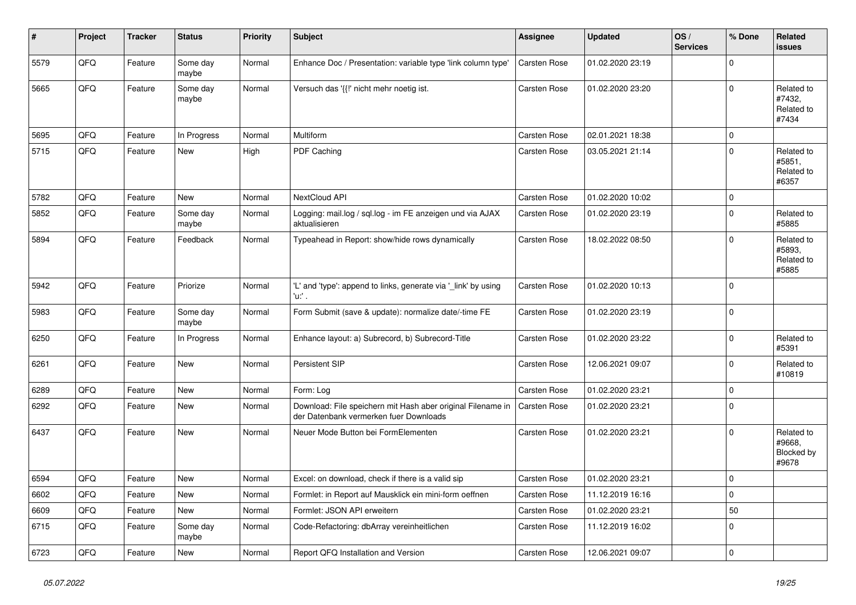| $\sharp$ | Project | <b>Tracker</b> | <b>Status</b>     | <b>Priority</b> | <b>Subject</b>                                                                                        | Assignee     | <b>Updated</b>   | OS/<br><b>Services</b> | % Done      | Related<br><b>issues</b>                    |
|----------|---------|----------------|-------------------|-----------------|-------------------------------------------------------------------------------------------------------|--------------|------------------|------------------------|-------------|---------------------------------------------|
| 5579     | QFQ     | Feature        | Some day<br>maybe | Normal          | Enhance Doc / Presentation: variable type 'link column type'                                          | Carsten Rose | 01.02.2020 23:19 |                        | $\mathbf 0$ |                                             |
| 5665     | QFQ     | Feature        | Some day<br>maybe | Normal          | Versuch das '{{!' nicht mehr noetig ist.                                                              | Carsten Rose | 01.02.2020 23:20 |                        | $\mathbf 0$ | Related to<br>#7432,<br>Related to<br>#7434 |
| 5695     | QFQ     | Feature        | In Progress       | Normal          | Multiform                                                                                             | Carsten Rose | 02.01.2021 18:38 |                        | $\mathbf 0$ |                                             |
| 5715     | QFQ     | Feature        | New               | High            | PDF Caching                                                                                           | Carsten Rose | 03.05.2021 21:14 |                        | $\mathbf 0$ | Related to<br>#5851,<br>Related to<br>#6357 |
| 5782     | QFQ     | Feature        | New               | Normal          | NextCloud API                                                                                         | Carsten Rose | 01.02.2020 10:02 |                        | $\mathsf 0$ |                                             |
| 5852     | QFQ     | Feature        | Some day<br>maybe | Normal          | Logging: mail.log / sql.log - im FE anzeigen und via AJAX<br>aktualisieren                            | Carsten Rose | 01.02.2020 23:19 |                        | $\mathbf 0$ | Related to<br>#5885                         |
| 5894     | QFQ     | Feature        | Feedback          | Normal          | Typeahead in Report: show/hide rows dynamically                                                       | Carsten Rose | 18.02.2022 08:50 |                        | $\mathbf 0$ | Related to<br>#5893,<br>Related to<br>#5885 |
| 5942     | QFQ     | Feature        | Priorize          | Normal          | 'L' and 'type': append to links, generate via '_link' by using<br>'u:' .                              | Carsten Rose | 01.02.2020 10:13 |                        | $\mathbf 0$ |                                             |
| 5983     | QFQ     | Feature        | Some day<br>maybe | Normal          | Form Submit (save & update): normalize date/-time FE                                                  | Carsten Rose | 01.02.2020 23:19 |                        | $\mathbf 0$ |                                             |
| 6250     | QFQ     | Feature        | In Progress       | Normal          | Enhance layout: a) Subrecord, b) Subrecord-Title                                                      | Carsten Rose | 01.02.2020 23:22 |                        | $\mathbf 0$ | Related to<br>#5391                         |
| 6261     | QFQ     | Feature        | <b>New</b>        | Normal          | Persistent SIP                                                                                        | Carsten Rose | 12.06.2021 09:07 |                        | $\mathbf 0$ | Related to<br>#10819                        |
| 6289     | QFQ     | Feature        | <b>New</b>        | Normal          | Form: Log                                                                                             | Carsten Rose | 01.02.2020 23:21 |                        | $\mathsf 0$ |                                             |
| 6292     | QFQ     | Feature        | New               | Normal          | Download: File speichern mit Hash aber original Filename in<br>der Datenbank vermerken fuer Downloads | Carsten Rose | 01.02.2020 23:21 |                        | $\mathbf 0$ |                                             |
| 6437     | QFQ     | Feature        | <b>New</b>        | Normal          | Neuer Mode Button bei FormElementen                                                                   | Carsten Rose | 01.02.2020 23:21 |                        | $\mathbf 0$ | Related to<br>#9668.<br>Blocked by<br>#9678 |
| 6594     | QFQ     | Feature        | New               | Normal          | Excel: on download, check if there is a valid sip                                                     | Carsten Rose | 01.02.2020 23:21 |                        | $\mathbf 0$ |                                             |
| 6602     | QFQ     | Feature        | <b>New</b>        | Normal          | Formlet: in Report auf Mausklick ein mini-form oeffnen                                                | Carsten Rose | 11.12.2019 16:16 |                        | $\mathsf 0$ |                                             |
| 6609     | QFQ     | Feature        | New               | Normal          | Formlet: JSON API erweitern                                                                           | Carsten Rose | 01.02.2020 23:21 |                        | 50          |                                             |
| 6715     | QFQ     | Feature        | Some day<br>maybe | Normal          | Code-Refactoring: dbArray vereinheitlichen                                                            | Carsten Rose | 11.12.2019 16:02 |                        | $\Omega$    |                                             |
| 6723     | QFQ     | Feature        | New               | Normal          | Report QFQ Installation and Version                                                                   | Carsten Rose | 12.06.2021 09:07 |                        | $\mathbf 0$ |                                             |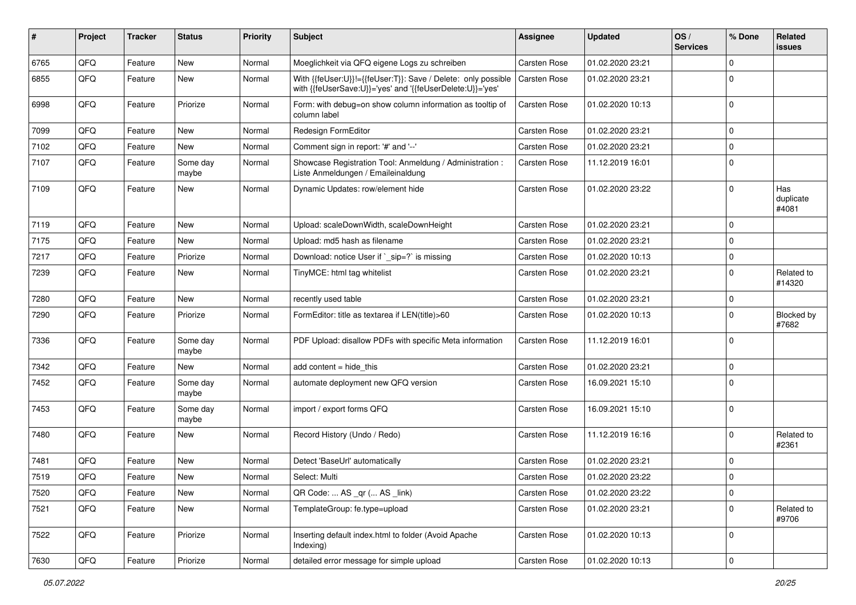| #    | Project | <b>Tracker</b> | <b>Status</b>     | <b>Priority</b> | <b>Subject</b>                                                                                                             | <b>Assignee</b>     | <b>Updated</b>   | OS/<br><b>Services</b> | % Done      | Related<br>issues         |
|------|---------|----------------|-------------------|-----------------|----------------------------------------------------------------------------------------------------------------------------|---------------------|------------------|------------------------|-------------|---------------------------|
| 6765 | QFQ     | Feature        | <b>New</b>        | Normal          | Moeglichkeit via QFQ eigene Logs zu schreiben                                                                              | Carsten Rose        | 01.02.2020 23:21 |                        | $\Omega$    |                           |
| 6855 | QFQ     | Feature        | New               | Normal          | With {{feUser:U}}!={{feUser:T}}: Save / Delete: only possible<br>with {{feUserSave:U}}='yes' and '{{feUserDelete:U}}='yes' | Carsten Rose        | 01.02.2020 23:21 |                        | $\Omega$    |                           |
| 6998 | QFQ     | Feature        | Priorize          | Normal          | Form: with debug=on show column information as tooltip of<br>column label                                                  | <b>Carsten Rose</b> | 01.02.2020 10:13 |                        | $\Omega$    |                           |
| 7099 | QFQ     | Feature        | New               | Normal          | Redesign FormEditor                                                                                                        | Carsten Rose        | 01.02.2020 23:21 |                        | $\Omega$    |                           |
| 7102 | QFQ     | Feature        | New               | Normal          | Comment sign in report: '#' and '--'                                                                                       | Carsten Rose        | 01.02.2020 23:21 |                        | $\mathbf 0$ |                           |
| 7107 | QFQ     | Feature        | Some day<br>maybe | Normal          | Showcase Registration Tool: Anmeldung / Administration :<br>Liste Anmeldungen / Emaileinaldung                             | Carsten Rose        | 11.12.2019 16:01 |                        | $\Omega$    |                           |
| 7109 | QFQ     | Feature        | New               | Normal          | Dynamic Updates: row/element hide                                                                                          | Carsten Rose        | 01.02.2020 23:22 |                        | 0           | Has<br>duplicate<br>#4081 |
| 7119 | QFQ     | Feature        | <b>New</b>        | Normal          | Upload: scaleDownWidth, scaleDownHeight                                                                                    | Carsten Rose        | 01.02.2020 23:21 |                        | 0           |                           |
| 7175 | QFQ     | Feature        | New               | Normal          | Upload: md5 hash as filename                                                                                               | Carsten Rose        | 01.02.2020 23:21 |                        | $\mathbf 0$ |                           |
| 7217 | QFQ     | Feature        | Priorize          | Normal          | Download: notice User if `_sip=?` is missing                                                                               | Carsten Rose        | 01.02.2020 10:13 |                        | $\mathbf 0$ |                           |
| 7239 | QFQ     | Feature        | New               | Normal          | TinyMCE: html tag whitelist                                                                                                | Carsten Rose        | 01.02.2020 23:21 |                        | $\Omega$    | Related to<br>#14320      |
| 7280 | QFQ     | Feature        | New               | Normal          | recently used table                                                                                                        | Carsten Rose        | 01.02.2020 23:21 |                        | $\mathbf 0$ |                           |
| 7290 | QFQ     | Feature        | Priorize          | Normal          | FormEditor: title as textarea if LEN(title)>60                                                                             | Carsten Rose        | 01.02.2020 10:13 |                        | $\Omega$    | Blocked by<br>#7682       |
| 7336 | QFQ     | Feature        | Some day<br>maybe | Normal          | PDF Upload: disallow PDFs with specific Meta information                                                                   | Carsten Rose        | 11.12.2019 16:01 |                        | $\Omega$    |                           |
| 7342 | QFQ     | Feature        | <b>New</b>        | Normal          | add content = hide_this                                                                                                    | <b>Carsten Rose</b> | 01.02.2020 23:21 |                        | 0           |                           |
| 7452 | QFQ     | Feature        | Some day<br>maybe | Normal          | automate deployment new QFQ version                                                                                        | Carsten Rose        | 16.09.2021 15:10 |                        | $\Omega$    |                           |
| 7453 | QFQ     | Feature        | Some day<br>maybe | Normal          | import / export forms QFQ                                                                                                  | Carsten Rose        | 16.09.2021 15:10 |                        | $\Omega$    |                           |
| 7480 | QFQ     | Feature        | New               | Normal          | Record History (Undo / Redo)                                                                                               | Carsten Rose        | 11.12.2019 16:16 |                        | $\Omega$    | Related to<br>#2361       |
| 7481 | QFQ     | Feature        | New               | Normal          | Detect 'BaseUrl' automatically                                                                                             | Carsten Rose        | 01.02.2020 23:21 |                        | $\Omega$    |                           |
| 7519 | QFQ     | Feature        | New               | Normal          | Select: Multi                                                                                                              | Carsten Rose        | 01.02.2020 23:22 |                        | $\Omega$    |                           |
| 7520 | QFQ     | Feature        | New               | Normal          | QR Code:  AS _qr ( AS _link)                                                                                               | Carsten Rose        | 01.02.2020 23:22 |                        | $\mathbf 0$ |                           |
| 7521 | QFQ     | Feature        | New               | Normal          | TemplateGroup: fe.type=upload                                                                                              | Carsten Rose        | 01.02.2020 23:21 |                        | $\mathbf 0$ | Related to<br>#9706       |
| 7522 | QFQ     | Feature        | Priorize          | Normal          | Inserting default index.html to folder (Avoid Apache<br>Indexing)                                                          | Carsten Rose        | 01.02.2020 10:13 |                        | $\mathbf 0$ |                           |
| 7630 | QFQ     | Feature        | Priorize          | Normal          | detailed error message for simple upload                                                                                   | Carsten Rose        | 01.02.2020 10:13 |                        | 0           |                           |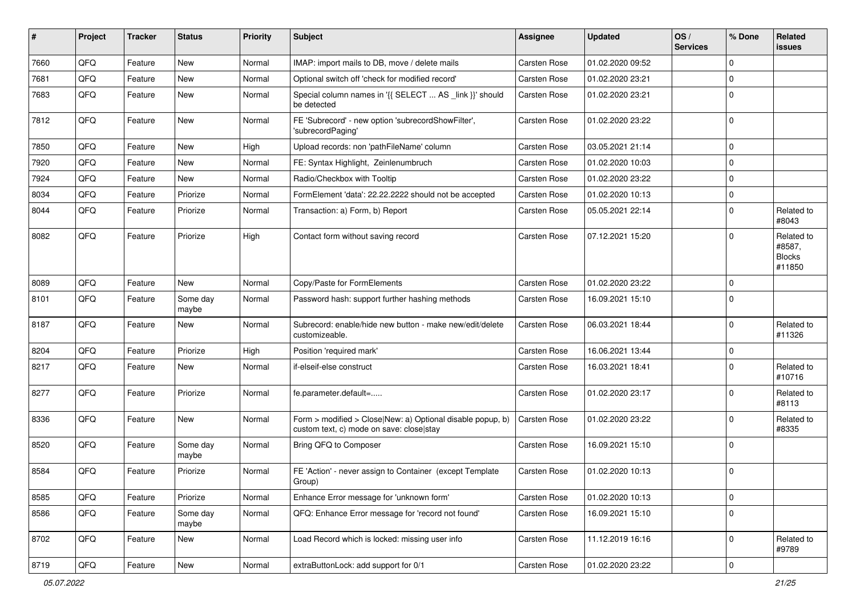| $\vert$ # | Project        | <b>Tracker</b> | <b>Status</b>     | <b>Priority</b> | Subject                                                                                                | <b>Assignee</b> | <b>Updated</b>   | OS/<br><b>Services</b> | % Done      | Related<br>issues                               |
|-----------|----------------|----------------|-------------------|-----------------|--------------------------------------------------------------------------------------------------------|-----------------|------------------|------------------------|-------------|-------------------------------------------------|
| 7660      | QFQ            | Feature        | New               | Normal          | IMAP: import mails to DB, move / delete mails                                                          | Carsten Rose    | 01.02.2020 09:52 |                        | $\Omega$    |                                                 |
| 7681      | QFQ            | Feature        | New               | Normal          | Optional switch off 'check for modified record'                                                        | Carsten Rose    | 01.02.2020 23:21 |                        | $\mathbf 0$ |                                                 |
| 7683      | QFQ            | Feature        | New               | Normal          | Special column names in '{{ SELECT  AS _link }}' should<br>be detected                                 | Carsten Rose    | 01.02.2020 23:21 |                        | $\Omega$    |                                                 |
| 7812      | QFQ            | Feature        | New               | Normal          | FE 'Subrecord' - new option 'subrecordShowFilter',<br>'subrecordPaging'                                | Carsten Rose    | 01.02.2020 23:22 |                        | $\Omega$    |                                                 |
| 7850      | QFQ            | Feature        | <b>New</b>        | High            | Upload records: non 'pathFileName' column                                                              | Carsten Rose    | 03.05.2021 21:14 |                        | $\mathbf 0$ |                                                 |
| 7920      | QFQ            | Feature        | New               | Normal          | FE: Syntax Highlight, Zeinlenumbruch                                                                   | Carsten Rose    | 01.02.2020 10:03 |                        | $\Omega$    |                                                 |
| 7924      | QFQ            | Feature        | New               | Normal          | Radio/Checkbox with Tooltip                                                                            | Carsten Rose    | 01.02.2020 23:22 |                        | $\Omega$    |                                                 |
| 8034      | QFQ            | Feature        | Priorize          | Normal          | FormElement 'data': 22.22.2222 should not be accepted                                                  | Carsten Rose    | 01.02.2020 10:13 |                        | $\mathbf 0$ |                                                 |
| 8044      | QFQ            | Feature        | Priorize          | Normal          | Transaction: a) Form, b) Report                                                                        | Carsten Rose    | 05.05.2021 22:14 |                        | $\Omega$    | Related to<br>#8043                             |
| 8082      | QFQ            | Feature        | Priorize          | High            | Contact form without saving record                                                                     | Carsten Rose    | 07.12.2021 15:20 |                        | $\Omega$    | Related to<br>#8587,<br><b>Blocks</b><br>#11850 |
| 8089      | QFQ            | Feature        | New               | Normal          | Copy/Paste for FormElements                                                                            | Carsten Rose    | 01.02.2020 23:22 |                        | $\mathbf 0$ |                                                 |
| 8101      | QFQ            | Feature        | Some day<br>maybe | Normal          | Password hash: support further hashing methods                                                         | Carsten Rose    | 16.09.2021 15:10 |                        | $\Omega$    |                                                 |
| 8187      | QFQ            | Feature        | New               | Normal          | Subrecord: enable/hide new button - make new/edit/delete<br>customizeable.                             | Carsten Rose    | 06.03.2021 18:44 |                        | $\Omega$    | Related to<br>#11326                            |
| 8204      | QFQ            | Feature        | Priorize          | High            | Position 'required mark'                                                                               | Carsten Rose    | 16.06.2021 13:44 |                        | $\mathbf 0$ |                                                 |
| 8217      | QFQ            | Feature        | New               | Normal          | if-elseif-else construct                                                                               | Carsten Rose    | 16.03.2021 18:41 |                        | $\Omega$    | Related to<br>#10716                            |
| 8277      | QFQ            | Feature        | Priorize          | Normal          | fe.parameter.default=                                                                                  | Carsten Rose    | 01.02.2020 23:17 |                        | $\Omega$    | Related to<br>#8113                             |
| 8336      | QFQ            | Feature        | New               | Normal          | Form > modified > Close New: a) Optional disable popup, b)<br>custom text, c) mode on save: close stay | Carsten Rose    | 01.02.2020 23:22 |                        | $\Omega$    | Related to<br>#8335                             |
| 8520      | QFQ            | Feature        | Some day<br>maybe | Normal          | Bring QFQ to Composer                                                                                  | Carsten Rose    | 16.09.2021 15:10 |                        | $\Omega$    |                                                 |
| 8584      | QFQ            | Feature        | Priorize          | Normal          | FE 'Action' - never assign to Container (except Template<br>Group)                                     | Carsten Rose    | 01.02.2020 10:13 |                        | $\Omega$    |                                                 |
| 8585      | QFQ            | Feature        | Priorize          | Normal          | Enhance Error message for 'unknown form'                                                               | Carsten Rose    | 01.02.2020 10:13 |                        | $\mathbf 0$ |                                                 |
| 8586      | QFQ            | Feature        | Some day<br>maybe | Normal          | QFQ: Enhance Error message for 'record not found'                                                      | Carsten Rose    | 16.09.2021 15:10 |                        | $\mathbf 0$ |                                                 |
| 8702      | QFQ            | Feature        | New               | Normal          | Load Record which is locked: missing user info                                                         | Carsten Rose    | 11.12.2019 16:16 |                        | $\mathbf 0$ | Related to<br>#9789                             |
| 8719      | $\mathsf{QFQ}$ | Feature        | New               | Normal          | extraButtonLock: add support for 0/1                                                                   | Carsten Rose    | 01.02.2020 23:22 |                        | $\mathbf 0$ |                                                 |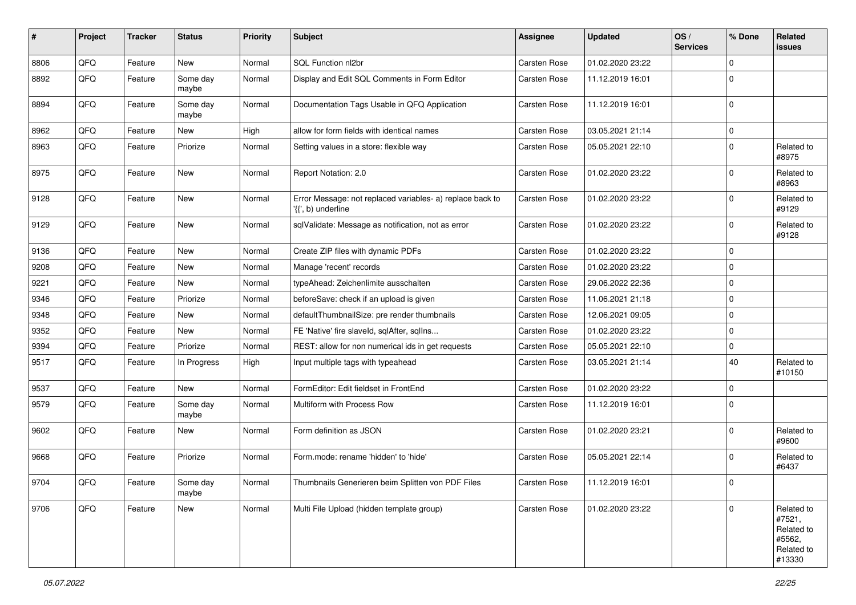| #    | Project | <b>Tracker</b> | <b>Status</b>     | <b>Priority</b> | Subject                                                                         | <b>Assignee</b> | <b>Updated</b>   | OS/<br><b>Services</b> | % Done      | Related<br><b>issues</b>                                             |
|------|---------|----------------|-------------------|-----------------|---------------------------------------------------------------------------------|-----------------|------------------|------------------------|-------------|----------------------------------------------------------------------|
| 8806 | QFQ     | Feature        | New               | Normal          | SQL Function nl2br                                                              | Carsten Rose    | 01.02.2020 23:22 |                        | $\mathbf 0$ |                                                                      |
| 8892 | QFQ     | Feature        | Some day<br>maybe | Normal          | Display and Edit SQL Comments in Form Editor                                    | Carsten Rose    | 11.12.2019 16:01 |                        | $\mathbf 0$ |                                                                      |
| 8894 | QFQ     | Feature        | Some day<br>maybe | Normal          | Documentation Tags Usable in QFQ Application                                    | Carsten Rose    | 11.12.2019 16:01 |                        | $\mathbf 0$ |                                                                      |
| 8962 | QFQ     | Feature        | New               | High            | allow for form fields with identical names                                      | Carsten Rose    | 03.05.2021 21:14 |                        | $\mathsf 0$ |                                                                      |
| 8963 | QFQ     | Feature        | Priorize          | Normal          | Setting values in a store: flexible way                                         | Carsten Rose    | 05.05.2021 22:10 |                        | $\mathbf 0$ | Related to<br>#8975                                                  |
| 8975 | QFQ     | Feature        | New               | Normal          | Report Notation: 2.0                                                            | Carsten Rose    | 01.02.2020 23:22 |                        | $\mathbf 0$ | Related to<br>#8963                                                  |
| 9128 | QFQ     | Feature        | New               | Normal          | Error Message: not replaced variables- a) replace back to<br>'{{', b) underline | Carsten Rose    | 01.02.2020 23:22 |                        | $\mathbf 0$ | Related to<br>#9129                                                  |
| 9129 | QFQ     | Feature        | New               | Normal          | sqlValidate: Message as notification, not as error                              | Carsten Rose    | 01.02.2020 23:22 |                        | $\mathbf 0$ | Related to<br>#9128                                                  |
| 9136 | QFQ     | Feature        | <b>New</b>        | Normal          | Create ZIP files with dynamic PDFs                                              | Carsten Rose    | 01.02.2020 23:22 |                        | $\mathbf 0$ |                                                                      |
| 9208 | QFQ     | Feature        | New               | Normal          | Manage 'recent' records                                                         | Carsten Rose    | 01.02.2020 23:22 |                        | $\mathbf 0$ |                                                                      |
| 9221 | QFQ     | Feature        | New               | Normal          | typeAhead: Zeichenlimite ausschalten                                            | Carsten Rose    | 29.06.2022 22:36 |                        | $\mathbf 0$ |                                                                      |
| 9346 | QFQ     | Feature        | Priorize          | Normal          | beforeSave: check if an upload is given                                         | Carsten Rose    | 11.06.2021 21:18 |                        | $\mathbf 0$ |                                                                      |
| 9348 | QFQ     | Feature        | New               | Normal          | defaultThumbnailSize: pre render thumbnails                                     | Carsten Rose    | 12.06.2021 09:05 |                        | $\mathbf 0$ |                                                                      |
| 9352 | QFQ     | Feature        | New               | Normal          | FE 'Native' fire slaveld, sqlAfter, sqlIns                                      | Carsten Rose    | 01.02.2020 23:22 |                        | $\mathbf 0$ |                                                                      |
| 9394 | QFQ     | Feature        | Priorize          | Normal          | REST: allow for non numerical ids in get requests                               | Carsten Rose    | 05.05.2021 22:10 |                        | $\mathbf 0$ |                                                                      |
| 9517 | QFQ     | Feature        | In Progress       | High            | Input multiple tags with typeahead                                              | Carsten Rose    | 03.05.2021 21:14 |                        | 40          | Related to<br>#10150                                                 |
| 9537 | QFQ     | Feature        | New               | Normal          | FormEditor: Edit fieldset in FrontEnd                                           | Carsten Rose    | 01.02.2020 23:22 |                        | $\mathbf 0$ |                                                                      |
| 9579 | QFQ     | Feature        | Some day<br>maybe | Normal          | Multiform with Process Row                                                      | Carsten Rose    | 11.12.2019 16:01 |                        | $\mathbf 0$ |                                                                      |
| 9602 | QFQ     | Feature        | New               | Normal          | Form definition as JSON                                                         | Carsten Rose    | 01.02.2020 23:21 |                        | $\mathbf 0$ | Related to<br>#9600                                                  |
| 9668 | QFQ     | Feature        | Priorize          | Normal          | Form.mode: rename 'hidden' to 'hide'                                            | Carsten Rose    | 05.05.2021 22:14 |                        | $\mathbf 0$ | Related to<br>#6437                                                  |
| 9704 | QFG     | Feature        | Some day<br>maybe | Normal          | Thumbnails Generieren beim Splitten von PDF Files                               | Carsten Rose    | 11.12.2019 16:01 |                        | $\Omega$    |                                                                      |
| 9706 | QFQ     | Feature        | New               | Normal          | Multi File Upload (hidden template group)                                       | Carsten Rose    | 01.02.2020 23:22 |                        | $\mathbf 0$ | Related to<br>#7521,<br>Related to<br>#5562,<br>Related to<br>#13330 |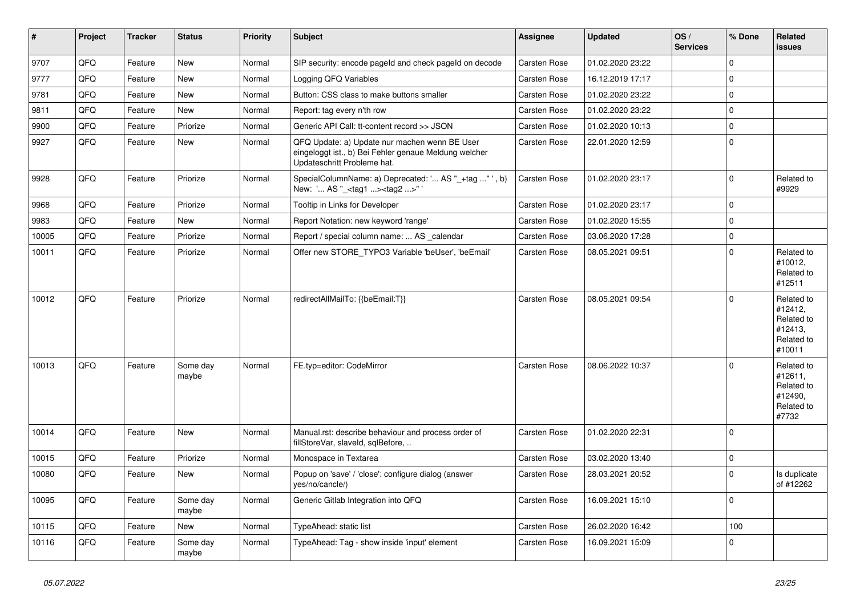| $\vert$ # | Project | <b>Tracker</b> | <b>Status</b>     | <b>Priority</b> | <b>Subject</b>                                                                                                                        | <b>Assignee</b>     | <b>Updated</b>   | OS/<br><b>Services</b> | % Done      | Related<br><b>issues</b>                                               |
|-----------|---------|----------------|-------------------|-----------------|---------------------------------------------------------------------------------------------------------------------------------------|---------------------|------------------|------------------------|-------------|------------------------------------------------------------------------|
| 9707      | QFQ     | Feature        | <b>New</b>        | Normal          | SIP security: encode pageld and check pageld on decode                                                                                | Carsten Rose        | 01.02.2020 23:22 |                        | $\Omega$    |                                                                        |
| 9777      | QFQ     | Feature        | New               | Normal          | Logging QFQ Variables                                                                                                                 | Carsten Rose        | 16.12.2019 17:17 |                        | $\Omega$    |                                                                        |
| 9781      | QFQ     | Feature        | <b>New</b>        | Normal          | Button: CSS class to make buttons smaller                                                                                             | Carsten Rose        | 01.02.2020 23:22 |                        | $\mathbf 0$ |                                                                        |
| 9811      | QFQ     | Feature        | <b>New</b>        | Normal          | Report: tag every n'th row                                                                                                            | Carsten Rose        | 01.02.2020 23:22 |                        | $\mathbf 0$ |                                                                        |
| 9900      | QFQ     | Feature        | Priorize          | Normal          | Generic API Call: tt-content record >> JSON                                                                                           | Carsten Rose        | 01.02.2020 10:13 |                        | $\mathbf 0$ |                                                                        |
| 9927      | QFQ     | Feature        | New               | Normal          | QFQ Update: a) Update nur machen wenn BE User<br>eingeloggt ist., b) Bei Fehler genaue Meldung welcher<br>Updateschritt Probleme hat. | Carsten Rose        | 22.01.2020 12:59 |                        | $\mathbf 0$ |                                                                        |
| 9928      | QFQ     | Feature        | Priorize          | Normal          | SpecialColumnName: a) Deprecated: ' AS "_+tag " ', b)<br>New: ' AS " <tag1><tag2>"</tag2></tag1>                                      | Carsten Rose        | 01.02.2020 23:17 |                        | $\Omega$    | Related to<br>#9929                                                    |
| 9968      | QFQ     | Feature        | Priorize          | Normal          | Tooltip in Links for Developer                                                                                                        | Carsten Rose        | 01.02.2020 23:17 |                        | $\mathbf 0$ |                                                                        |
| 9983      | QFQ     | Feature        | New               | Normal          | Report Notation: new keyword 'range'                                                                                                  | Carsten Rose        | 01.02.2020 15:55 |                        | $\Omega$    |                                                                        |
| 10005     | QFQ     | Feature        | Priorize          | Normal          | Report / special column name:  AS _calendar                                                                                           | Carsten Rose        | 03.06.2020 17:28 |                        | $\mathbf 0$ |                                                                        |
| 10011     | QFQ     | Feature        | Priorize          | Normal          | Offer new STORE_TYPO3 Variable 'beUser', 'beEmail'                                                                                    | <b>Carsten Rose</b> | 08.05.2021 09:51 |                        | $\Omega$    | Related to<br>#10012,<br>Related to<br>#12511                          |
| 10012     | QFQ     | Feature        | Priorize          | Normal          | redirectAllMailTo: {{beEmail:T}}                                                                                                      | Carsten Rose        | 08.05.2021 09:54 |                        | $\Omega$    | Related to<br>#12412,<br>Related to<br>#12413,<br>Related to<br>#10011 |
| 10013     | QFQ     | Feature        | Some day<br>maybe | Normal          | FE.typ=editor: CodeMirror                                                                                                             | Carsten Rose        | 08.06.2022 10:37 |                        | $\Omega$    | Related to<br>#12611,<br>Related to<br>#12490,<br>Related to<br>#7732  |
| 10014     | QFQ     | Feature        | <b>New</b>        | Normal          | Manual.rst: describe behaviour and process order of<br>fillStoreVar, slaveId, sqlBefore,                                              | Carsten Rose        | 01.02.2020 22:31 |                        | $\Omega$    |                                                                        |
| 10015     | QFQ     | Feature        | Priorize          | Normal          | Monospace in Textarea                                                                                                                 | Carsten Rose        | 03.02.2020 13:40 |                        | $\mathbf 0$ |                                                                        |
| 10080     | QFQ     | Feature        | New               | Normal          | Popup on 'save' / 'close': configure dialog (answer<br>yes/no/cancle/)                                                                | Carsten Rose        | 28.03.2021 20:52 |                        | $\mathbf 0$ | Is duplicate<br>of #12262                                              |
| 10095     | QFQ     | Feature        | Some day<br>maybe | Normal          | Generic Gitlab Integration into QFQ                                                                                                   | Carsten Rose        | 16.09.2021 15:10 |                        | $\Omega$    |                                                                        |
| 10115     | QFQ     | Feature        | New               | Normal          | TypeAhead: static list                                                                                                                | Carsten Rose        | 26.02.2020 16:42 |                        | 100         |                                                                        |
| 10116     | QFQ     | Feature        | Some day<br>maybe | Normal          | TypeAhead: Tag - show inside 'input' element                                                                                          | Carsten Rose        | 16.09.2021 15:09 |                        | $\Omega$    |                                                                        |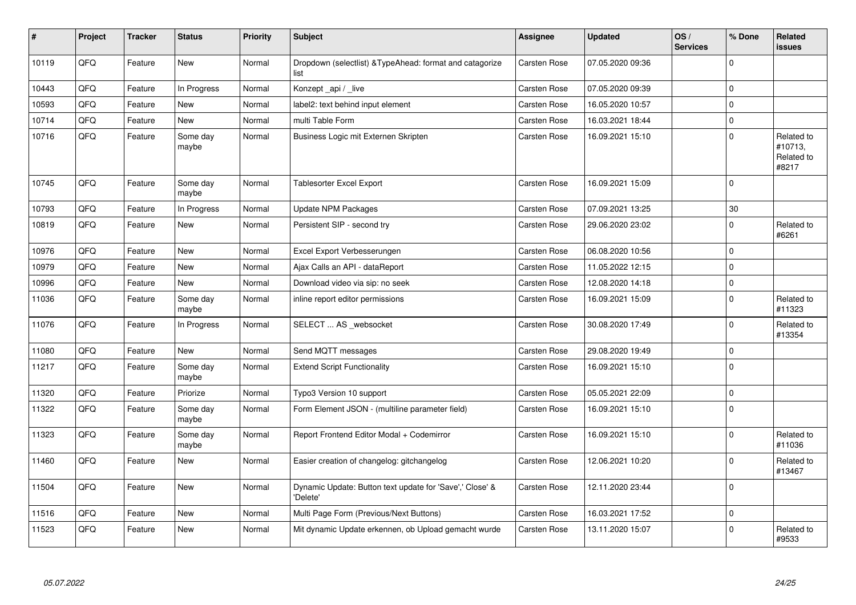| #     | Project | <b>Tracker</b> | <b>Status</b>     | <b>Priority</b> | <b>Subject</b>                                                       | Assignee     | <b>Updated</b>   | OS/<br><b>Services</b> | % Done      | Related<br><b>issues</b>                     |
|-------|---------|----------------|-------------------|-----------------|----------------------------------------------------------------------|--------------|------------------|------------------------|-------------|----------------------------------------------|
| 10119 | QFQ     | Feature        | <b>New</b>        | Normal          | Dropdown (selectlist) & TypeAhead: format and catagorize<br>list     | Carsten Rose | 07.05.2020 09:36 |                        | $\mathbf 0$ |                                              |
| 10443 | QFQ     | Feature        | In Progress       | Normal          | Konzept_api / _live                                                  | Carsten Rose | 07.05.2020 09:39 |                        | $\mathbf 0$ |                                              |
| 10593 | QFQ     | Feature        | New               | Normal          | label2: text behind input element                                    | Carsten Rose | 16.05.2020 10:57 |                        | $\mathbf 0$ |                                              |
| 10714 | QFQ     | Feature        | <b>New</b>        | Normal          | multi Table Form                                                     | Carsten Rose | 16.03.2021 18:44 |                        | $\mathbf 0$ |                                              |
| 10716 | QFQ     | Feature        | Some day<br>maybe | Normal          | Business Logic mit Externen Skripten                                 | Carsten Rose | 16.09.2021 15:10 |                        | $\Omega$    | Related to<br>#10713,<br>Related to<br>#8217 |
| 10745 | QFQ     | Feature        | Some day<br>maybe | Normal          | Tablesorter Excel Export                                             | Carsten Rose | 16.09.2021 15:09 |                        | $\mathbf 0$ |                                              |
| 10793 | QFQ     | Feature        | In Progress       | Normal          | Update NPM Packages                                                  | Carsten Rose | 07.09.2021 13:25 |                        | 30          |                                              |
| 10819 | QFQ     | Feature        | <b>New</b>        | Normal          | Persistent SIP - second try                                          | Carsten Rose | 29.06.2020 23:02 |                        | $\mathbf 0$ | Related to<br>#6261                          |
| 10976 | QFQ     | Feature        | <b>New</b>        | Normal          | Excel Export Verbesserungen                                          | Carsten Rose | 06.08.2020 10:56 |                        | $\mathbf 0$ |                                              |
| 10979 | QFQ     | Feature        | New               | Normal          | Ajax Calls an API - dataReport                                       | Carsten Rose | 11.05.2022 12:15 |                        | $\mathbf 0$ |                                              |
| 10996 | QFQ     | Feature        | <b>New</b>        | Normal          | Download video via sip: no seek                                      | Carsten Rose | 12.08.2020 14:18 |                        | $\mathbf 0$ |                                              |
| 11036 | QFQ     | Feature        | Some day<br>maybe | Normal          | inline report editor permissions                                     | Carsten Rose | 16.09.2021 15:09 |                        | $\mathsf 0$ | Related to<br>#11323                         |
| 11076 | QFQ     | Feature        | In Progress       | Normal          | SELECT  AS _websocket                                                | Carsten Rose | 30.08.2020 17:49 |                        | $\mathbf 0$ | Related to<br>#13354                         |
| 11080 | QFQ     | Feature        | New               | Normal          | Send MQTT messages                                                   | Carsten Rose | 29.08.2020 19:49 |                        | $\mathsf 0$ |                                              |
| 11217 | QFQ     | Feature        | Some day<br>maybe | Normal          | <b>Extend Script Functionality</b>                                   | Carsten Rose | 16.09.2021 15:10 |                        | $\mathbf 0$ |                                              |
| 11320 | QFQ     | Feature        | Priorize          | Normal          | Typo3 Version 10 support                                             | Carsten Rose | 05.05.2021 22:09 |                        | $\mathbf 0$ |                                              |
| 11322 | QFQ     | Feature        | Some day<br>maybe | Normal          | Form Element JSON - (multiline parameter field)                      | Carsten Rose | 16.09.2021 15:10 |                        | $\pmb{0}$   |                                              |
| 11323 | QFQ     | Feature        | Some day<br>maybe | Normal          | Report Frontend Editor Modal + Codemirror                            | Carsten Rose | 16.09.2021 15:10 |                        | $\mathbf 0$ | Related to<br>#11036                         |
| 11460 | QFQ     | Feature        | New               | Normal          | Easier creation of changelog: gitchangelog                           | Carsten Rose | 12.06.2021 10:20 |                        | $\mathbf 0$ | Related to<br>#13467                         |
| 11504 | QFQ     | Feature        | <b>New</b>        | Normal          | Dynamic Update: Button text update for 'Save',' Close' &<br>'Delete' | Carsten Rose | 12.11.2020 23:44 |                        | $\mathbf 0$ |                                              |
| 11516 | QFQ     | Feature        | New               | Normal          | Multi Page Form (Previous/Next Buttons)                              | Carsten Rose | 16.03.2021 17:52 |                        | $\mathsf 0$ |                                              |
| 11523 | QFQ     | Feature        | New               | Normal          | Mit dynamic Update erkennen, ob Upload gemacht wurde                 | Carsten Rose | 13.11.2020 15:07 |                        | $\mathbf 0$ | Related to<br>#9533                          |